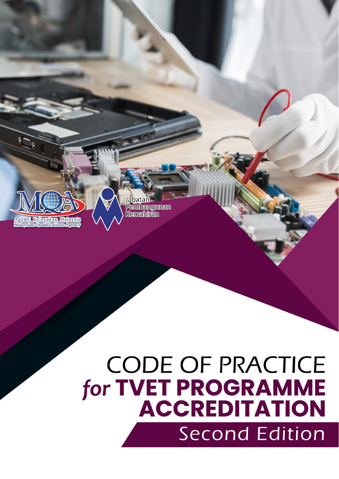

# **CODE OF PRACTICE for TVET PROGRAMME<br>ACCREDITATION Second Edition**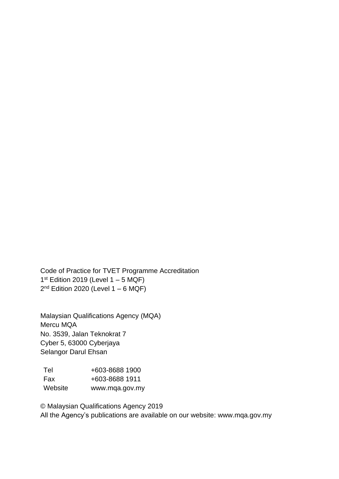Code of Practice for TVET Programme Accreditation  $1<sup>st</sup>$  Edition 2019 (Level 1 – 5 MQF) 2<sup>nd</sup> Edition 2020 (Level 1 – 6 MQF)

Malaysian Qualifications Agency (MQA) Mercu MQA No. 3539, Jalan Teknokrat 7 Cyber 5, 63000 Cyberjaya Selangor Darul Ehsan

| <b>Tel</b> | +603-8688 1900 |
|------------|----------------|
| Fax        | +603-8688 1911 |
| Website    | www.mqa.gov.my |

© Malaysian Qualifications Agency 2019 All the Agency's publications are available on our website: [www.mqa.gov.my](http://www.mqa.gov.my/)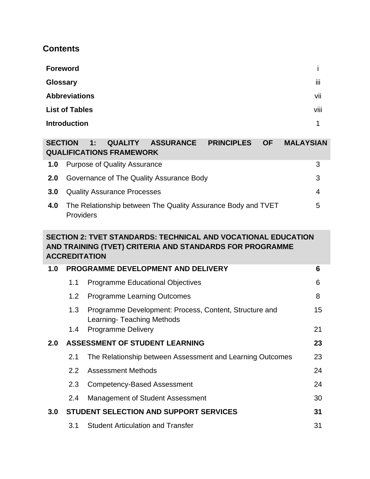### **Contents**

| <b>Foreword</b>       |       |
|-----------------------|-------|
| <b>Glossary</b>       | <br>Ш |
| <b>Abbreviations</b>  | vii   |
| <b>List of Tables</b> | viii  |
| <b>Introduction</b>   | 4     |

| <b>SECTION</b> | <b>QUALITY ASSURANCE</b><br><b>PRINCIPLES</b><br><b>OF</b><br><b>MALAYSIAN</b><br>1:<br><b>QUALIFICATIONS FRAMEWORK</b> |   |
|----------------|-------------------------------------------------------------------------------------------------------------------------|---|
| 1.0            | <b>Purpose of Quality Assurance</b>                                                                                     | 3 |
| 2.0            | Governance of The Quality Assurance Body                                                                                | 3 |
| 3.0            | <b>Quality Assurance Processes</b>                                                                                      | 4 |
| 4.0            | The Relationship between The Quality Assurance Body and TVET<br>Providers                                               | 5 |

#### **SECTION 2: TVET STANDARDS: TECHNICAL AND VOCATIONAL EDUCATION AND TRAINING (TVET) CRITERIA AND STANDARDS FOR PROGRAMME ACCREDITATION**

| 1.0 | <b>PROGRAMME DEVELOPMENT AND DELIVERY</b> |                                                                                      |    |
|-----|-------------------------------------------|--------------------------------------------------------------------------------------|----|
|     | 1.1                                       | <b>Programme Educational Objectives</b>                                              | 6  |
|     | 1.2                                       | <b>Programme Learning Outcomes</b>                                                   | 8  |
|     | 1.3                                       | Programme Development: Process, Content, Structure and<br>Learning- Teaching Methods | 15 |
|     | 1.4                                       | <b>Programme Delivery</b>                                                            | 21 |
| 2.0 | <b>ASSESSMENT OF STUDENT LEARNING</b>     |                                                                                      | 23 |
|     | 2.1                                       | The Relationship between Assessment and Learning Outcomes                            | 23 |
|     | $2.2^{\circ}$                             | <b>Assessment Methods</b>                                                            | 24 |
|     | 2.3                                       | <b>Competency-Based Assessment</b>                                                   | 24 |
|     | 2.4                                       | <b>Management of Student Assessment</b>                                              | 30 |
| 3.0 |                                           | <b>STUDENT SELECTION AND SUPPORT SERVICES</b>                                        | 31 |
|     | 3.1                                       | <b>Student Articulation and Transfer</b>                                             | 31 |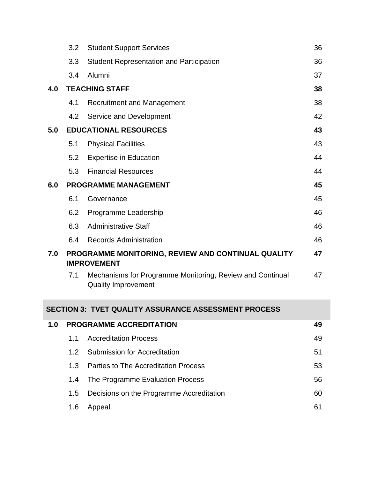|     | 3.2 | <b>Student Support Services</b>                                                         | 36 |
|-----|-----|-----------------------------------------------------------------------------------------|----|
|     | 3.3 | <b>Student Representation and Participation</b>                                         | 36 |
|     | 3.4 | Alumni                                                                                  | 37 |
| 4.0 |     | <b>TEACHING STAFF</b>                                                                   | 38 |
|     | 4.1 | <b>Recruitment and Management</b>                                                       | 38 |
|     | 4.2 | Service and Development                                                                 | 42 |
| 5.0 |     | <b>EDUCATIONAL RESOURCES</b>                                                            | 43 |
|     | 5.1 | <b>Physical Facilities</b>                                                              | 43 |
|     | 5.2 | <b>Expertise in Education</b>                                                           | 44 |
|     | 5.3 | <b>Financial Resources</b>                                                              | 44 |
| 6.0 |     | <b>PROGRAMME MANAGEMENT</b>                                                             | 45 |
|     | 6.1 | Governance                                                                              | 45 |
|     | 6.2 | Programme Leadership                                                                    | 46 |
|     | 6.3 | <b>Administrative Staff</b>                                                             | 46 |
|     | 6.4 | <b>Records Administration</b>                                                           | 46 |
| 7.0 |     | PROGRAMME MONITORING, REVIEW AND CONTINUAL QUALITY<br><b>IMPROVEMENT</b>                | 47 |
|     | 7.1 | Mechanisms for Programme Monitoring, Review and Continual<br><b>Quality Improvement</b> | 47 |

#### **SECTION 3: TVET QUALITY ASSURANCE ASSESSMENT PROCESS**

| 1.0 |         | <b>PROGRAMME ACCREDITATION</b>              | 49 |
|-----|---------|---------------------------------------------|----|
|     | 11      | <b>Accreditation Process</b>                | 49 |
|     | 12      | Submission for Accreditation                | 51 |
|     | 1.3     | <b>Parties to The Accreditation Process</b> | 53 |
|     | 1.4     | The Programme Evaluation Process            | 56 |
|     | $1.5\,$ | Decisions on the Programme Accreditation    | 60 |
|     | 1.6     | Appeal                                      | 61 |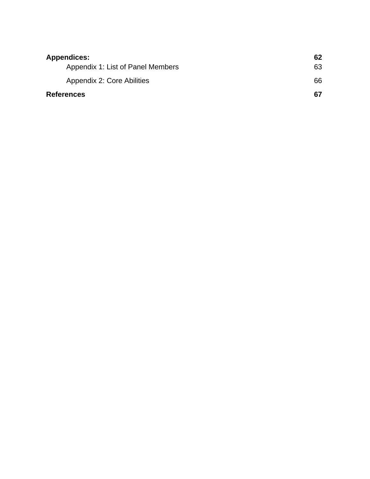| <b>Appendices:</b>                | 62 |
|-----------------------------------|----|
| Appendix 1: List of Panel Members | 63 |
| Appendix 2: Core Abilities        | 66 |
| <b>References</b>                 | 67 |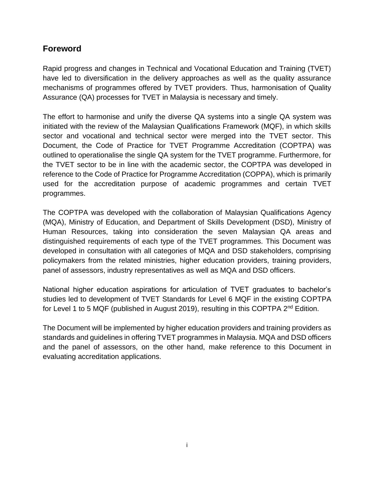#### **Foreword**

Rapid progress and changes in Technical and Vocational Education and Training (TVET) have led to diversification in the delivery approaches as well as the quality assurance mechanisms of programmes offered by TVET providers. Thus, harmonisation of Quality Assurance (QA) processes for TVET in Malaysia is necessary and timely.

The effort to harmonise and unify the diverse QA systems into a single QA system was initiated with the review of the Malaysian Qualifications Framework (MQF), in which skills sector and vocational and technical sector were merged into the TVET sector. This Document, the Code of Practice for TVET Programme Accreditation (COPTPA) was outlined to operationalise the single QA system for the TVET programme. Furthermore, for the TVET sector to be in line with the academic sector, the COPTPA was developed in reference to the Code of Practice for Programme Accreditation (COPPA), which is primarily used for the accreditation purpose of academic programmes and certain TVET programmes.

The COPTPA was developed with the collaboration of Malaysian Qualifications Agency (MQA), Ministry of Education, and Department of Skills Development (DSD), Ministry of Human Resources, taking into consideration the seven Malaysian QA areas and distinguished requirements of each type of the TVET programmes. This Document was developed in consultation with all categories of MQA and DSD stakeholders, comprising policymakers from the related ministries, higher education providers, training providers, panel of assessors, industry representatives as well as MQA and DSD officers.

National higher education aspirations for articulation of TVET graduates to bachelor's studies led to development of TVET Standards for Level 6 MQF in the existing COPTPA for Level 1 to 5 MQF (published in August 2019), resulting in this COPTPA 2<sup>nd</sup> Edition.

The Document will be implemented by higher education providers and training providers as standards and guidelines in offering TVET programmes in Malaysia. MQA and DSD officers and the panel of assessors, on the other hand, make reference to this Document in evaluating accreditation applications.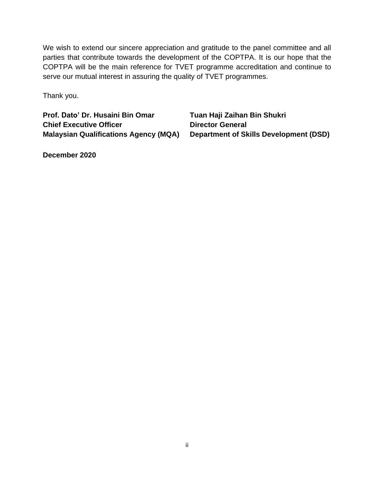We wish to extend our sincere appreciation and gratitude to the panel committee and all parties that contribute towards the development of the COPTPA. It is our hope that the COPTPA will be the main reference for TVET programme accreditation and continue to serve our mutual interest in assuring the quality of TVET programmes.

Thank you.

**Prof. Dato' Dr. Husaini Bin Omar Tuan Haji Zaihan Bin Shukri Chief Executive Officer Director General** 

**Malaysian Qualifications Agency (MQA) Department of Skills Development (DSD)**

**December 2020**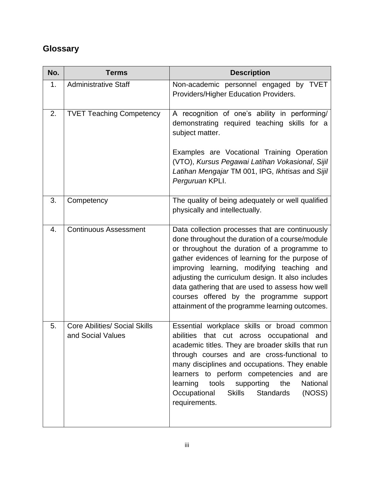# **Glossary**

| No. | <b>Terms</b>                                              | <b>Description</b>                                                                                                                                                                                                                                                                                                                                                                                                                                        |
|-----|-----------------------------------------------------------|-----------------------------------------------------------------------------------------------------------------------------------------------------------------------------------------------------------------------------------------------------------------------------------------------------------------------------------------------------------------------------------------------------------------------------------------------------------|
| 1.  | <b>Administrative Staff</b>                               | Non-academic personnel engaged by TVET<br>Providers/Higher Education Providers.                                                                                                                                                                                                                                                                                                                                                                           |
| 2.  | <b>TVET Teaching Competency</b>                           | A recognition of one's ability in performing/<br>demonstrating required teaching skills for a<br>subject matter.<br>Examples are Vocational Training Operation                                                                                                                                                                                                                                                                                            |
|     |                                                           | (VTO), Kursus Pegawai Latihan Vokasional, Sijil<br>Latihan Mengajar TM 001, IPG, Ikhtisas and Sijil<br>Perguruan KPLI.                                                                                                                                                                                                                                                                                                                                    |
| 3.  | Competency                                                | The quality of being adequately or well qualified<br>physically and intellectually.                                                                                                                                                                                                                                                                                                                                                                       |
| 4.  | <b>Continuous Assessment</b>                              | Data collection processes that are continuously<br>done throughout the duration of a course/module<br>or throughout the duration of a programme to<br>gather evidences of learning for the purpose of<br>improving learning, modifying teaching and<br>adjusting the curriculum design. It also includes<br>data gathering that are used to assess how well<br>courses offered by the programme support<br>attainment of the programme learning outcomes. |
| 5.  | <b>Core Abilities/ Social Skills</b><br>and Social Values | Essential workplace skills or broad common<br>abilities that cut across occupational and<br>academic titles. They are broader skills that run<br>through courses and are cross-functional to<br>many disciplines and occupations. They enable<br>learners to perform competencies and are<br>learning<br>tools supporting the<br>National<br>Occupational<br>Skills Standards<br>(NOSS)<br>requirements.                                                  |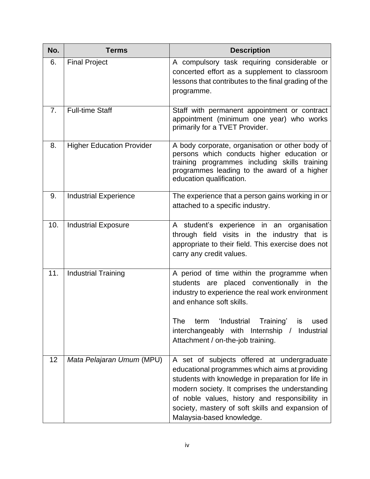| No.            | <b>Terms</b>                     | <b>Description</b>                                                                                                                                                                                                                                                                                                                      |
|----------------|----------------------------------|-----------------------------------------------------------------------------------------------------------------------------------------------------------------------------------------------------------------------------------------------------------------------------------------------------------------------------------------|
| 6.             | <b>Final Project</b>             | A compulsory task requiring considerable or<br>concerted effort as a supplement to classroom<br>lessons that contributes to the final grading of the<br>programme.                                                                                                                                                                      |
| 7 <sub>1</sub> | <b>Full-time Staff</b>           | Staff with permanent appointment or contract<br>appointment (minimum one year) who works<br>primarily for a TVET Provider.                                                                                                                                                                                                              |
| 8.             | <b>Higher Education Provider</b> | A body corporate, organisation or other body of<br>persons which conducts higher education or<br>training programmes including skills training<br>programmes leading to the award of a higher<br>education qualification.                                                                                                               |
| 9.             | <b>Industrial Experience</b>     | The experience that a person gains working in or<br>attached to a specific industry.                                                                                                                                                                                                                                                    |
| 10.            | <b>Industrial Exposure</b>       | A student's experience in an organisation<br>through field visits in the industry that is<br>appropriate to their field. This exercise does not<br>carry any credit values.                                                                                                                                                             |
| 11.            | <b>Industrial Training</b>       | A period of time within the programme when<br>students are placed conventionally in the<br>industry to experience the real work environment<br>and enhance soft skills.                                                                                                                                                                 |
|                |                                  | The<br>'Industrial<br>Training'<br>term<br>used<br>is<br>interchangeably with Internship /<br>Industrial<br>Attachment / on-the-job training.                                                                                                                                                                                           |
| 12             | Mata Pelajaran Umum (MPU)        | A set of subjects offered at undergraduate<br>educational programmes which aims at providing<br>students with knowledge in preparation for life in<br>modern society. It comprises the understanding<br>of noble values, history and responsibility in<br>society, mastery of soft skills and expansion of<br>Malaysia-based knowledge. |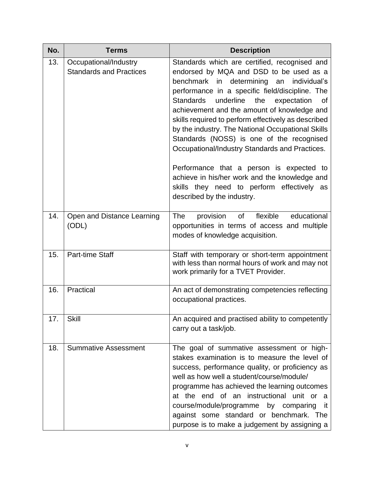| No. | <b>Terms</b>                                            | <b>Description</b>                                                                                                                                                                                                                                                                                                                                                                                                                                                                                                                                                                                                                                                                            |
|-----|---------------------------------------------------------|-----------------------------------------------------------------------------------------------------------------------------------------------------------------------------------------------------------------------------------------------------------------------------------------------------------------------------------------------------------------------------------------------------------------------------------------------------------------------------------------------------------------------------------------------------------------------------------------------------------------------------------------------------------------------------------------------|
| 13. | Occupational/Industry<br><b>Standards and Practices</b> | Standards which are certified, recognised and<br>endorsed by MQA and DSD to be used as a<br>benchmark in determining<br>individual's<br>an<br>performance in a specific field/discipline. The<br><b>Standards</b><br>underline<br>the<br>expectation<br>0f<br>achievement and the amount of knowledge and<br>skills required to perform effectively as described<br>by the industry. The National Occupational Skills<br>Standards (NOSS) is one of the recognised<br>Occupational/Industry Standards and Practices.<br>Performance that a person is expected to<br>achieve in his/her work and the knowledge and<br>skills they need to perform effectively as<br>described by the industry. |
| 14. | Open and Distance Learning<br>(ODL)                     | of flexible<br>educational<br>The<br>provision<br>opportunities in terms of access and multiple<br>modes of knowledge acquisition.                                                                                                                                                                                                                                                                                                                                                                                                                                                                                                                                                            |
| 15. | <b>Part-time Staff</b>                                  | Staff with temporary or short-term appointment<br>with less than normal hours of work and may not<br>work primarily for a TVET Provider.                                                                                                                                                                                                                                                                                                                                                                                                                                                                                                                                                      |
| 16. | Practical                                               | An act of demonstrating competencies reflecting<br>occupational practices.                                                                                                                                                                                                                                                                                                                                                                                                                                                                                                                                                                                                                    |
| 17. | <b>Skill</b>                                            | An acquired and practised ability to competently<br>carry out a task/job.                                                                                                                                                                                                                                                                                                                                                                                                                                                                                                                                                                                                                     |
| 18. | <b>Summative Assessment</b>                             | The goal of summative assessment or high-<br>stakes examination is to measure the level of<br>success, performance quality, or proficiency as<br>well as how well a student/course/module/<br>programme has achieved the learning outcomes<br>the end of an instructional unit or<br>at<br>a<br>course/module/programme by comparing<br>it.<br>against some standard or benchmark. The<br>purpose is to make a judgement by assigning a                                                                                                                                                                                                                                                       |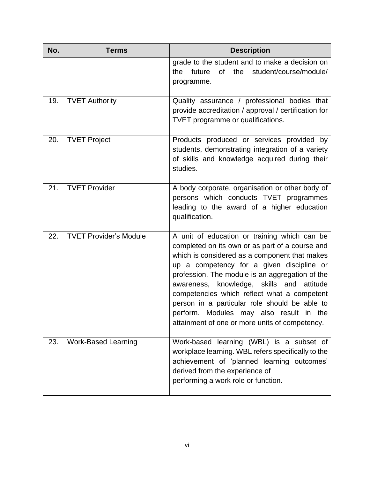| No. | <b>Terms</b>                  | <b>Description</b>                                                                                                                                                                                                                                                                                                                                                                                                                                                                            |
|-----|-------------------------------|-----------------------------------------------------------------------------------------------------------------------------------------------------------------------------------------------------------------------------------------------------------------------------------------------------------------------------------------------------------------------------------------------------------------------------------------------------------------------------------------------|
|     |                               | grade to the student and to make a decision on<br>the<br>student/course/module/<br>future<br>of<br>the<br>programme.                                                                                                                                                                                                                                                                                                                                                                          |
| 19. | <b>TVET Authority</b>         | Quality assurance / professional bodies that<br>provide accreditation / approval / certification for<br>TVET programme or qualifications.                                                                                                                                                                                                                                                                                                                                                     |
| 20. | <b>TVET Project</b>           | Products produced or services provided by<br>students, demonstrating integration of a variety<br>of skills and knowledge acquired during their<br>studies.                                                                                                                                                                                                                                                                                                                                    |
| 21. | <b>TVET Provider</b>          | A body corporate, organisation or other body of<br>persons which conducts TVET programmes<br>leading to the award of a higher education<br>qualification.                                                                                                                                                                                                                                                                                                                                     |
| 22. | <b>TVET Provider's Module</b> | A unit of education or training which can be<br>completed on its own or as part of a course and<br>which is considered as a component that makes<br>up a competency for a given discipline or<br>profession. The module is an aggregation of the<br>awareness, knowledge, skills and<br>attitude<br>competencies which reflect what a competent<br>person in a particular role should be able to<br>perform. Modules may also result in the<br>attainment of one or more units of competency. |
| 23. | <b>Work-Based Learning</b>    | Work-based learning (WBL) is a subset of<br>workplace learning. WBL refers specifically to the<br>achievement of 'planned learning outcomes'<br>derived from the experience of<br>performing a work role or function.                                                                                                                                                                                                                                                                         |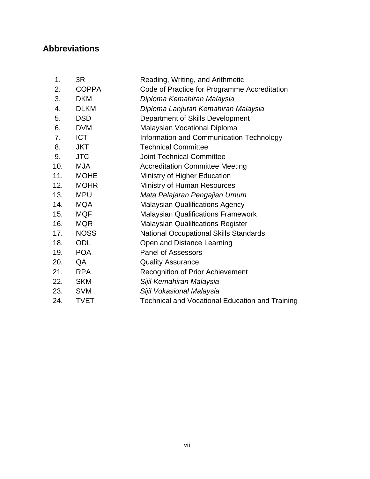# **Abbreviations**

| 1.  | 3R           | Reading, Writing, and Arithmetic                       |
|-----|--------------|--------------------------------------------------------|
| 2.  | <b>COPPA</b> | Code of Practice for Programme Accreditation           |
| 3.  | <b>DKM</b>   | Diploma Kemahiran Malaysia                             |
| 4.  | <b>DLKM</b>  | Diploma Lanjutan Kemahiran Malaysia                    |
| 5.  | <b>DSD</b>   | Department of Skills Development                       |
| 6.  | <b>DVM</b>   | Malaysian Vocational Diploma                           |
| 7.  | <b>ICT</b>   | Information and Communication Technology               |
| 8.  | <b>JKT</b>   | <b>Technical Committee</b>                             |
| 9.  | <b>JTC</b>   | <b>Joint Technical Committee</b>                       |
| 10. | <b>MJA</b>   | <b>Accreditation Committee Meeting</b>                 |
| 11. | <b>MOHE</b>  | Ministry of Higher Education                           |
| 12. | <b>MOHR</b>  | Ministry of Human Resources                            |
| 13. | <b>MPU</b>   | Mata Pelajaran Pengajian Umum                          |
| 14. | <b>MQA</b>   | <b>Malaysian Qualifications Agency</b>                 |
| 15. | <b>MQF</b>   | <b>Malaysian Qualifications Framework</b>              |
| 16. | <b>MQR</b>   | <b>Malaysian Qualifications Register</b>               |
| 17. | <b>NOSS</b>  | <b>National Occupational Skills Standards</b>          |
| 18. | <b>ODL</b>   | Open and Distance Learning                             |
| 19. | <b>POA</b>   | <b>Panel of Assessors</b>                              |
| 20. | QA           | <b>Quality Assurance</b>                               |
| 21. | <b>RPA</b>   | <b>Recognition of Prior Achievement</b>                |
| 22. | <b>SKM</b>   | Sijil Kemahiran Malaysia                               |
| 23. | <b>SVM</b>   | Sijil Vokasional Malaysia                              |
| 24. | <b>TVET</b>  | <b>Technical and Vocational Education and Training</b> |
|     |              |                                                        |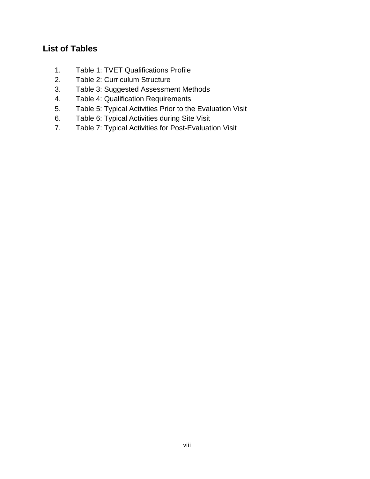## **List of Tables**

- 1. Table 1: TVET Qualifications Profile
- 2. Table 2: Curriculum Structure
- 3. Table 3: Suggested Assessment Methods
- 4. Table 4: Qualification Requirements
- 5. Table 5: Typical Activities Prior to the Evaluation Visit
- 6. Table 6: Typical Activities during Site Visit
- 7. Table 7: Typical Activities for Post-Evaluation Visit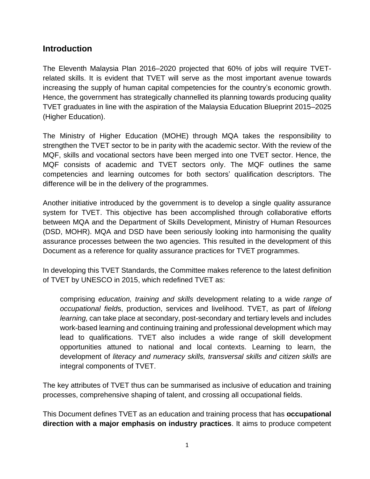#### **Introduction**

The Eleventh Malaysia Plan 2016–2020 projected that 60% of jobs will require TVETrelated skills. It is evident that TVET will serve as the most important avenue towards increasing the supply of human capital competencies for the country's economic growth. Hence, the government has strategically channelled its planning towards producing quality TVET graduates in line with the aspiration of the Malaysia Education Blueprint 2015–2025 (Higher Education).

The Ministry of Higher Education (MOHE) through MQA takes the responsibility to strengthen the TVET sector to be in parity with the academic sector. With the review of the MQF, skills and vocational sectors have been merged into one TVET sector. Hence, the MQF consists of academic and TVET sectors only. The MQF outlines the same competencies and learning outcomes for both sectors' qualification descriptors. The difference will be in the delivery of the programmes.

Another initiative introduced by the government is to develop a single quality assurance system for TVET. This objective has been accomplished through collaborative efforts between MQA and the Department of Skills Development, Ministry of Human Resources (DSD, MOHR). MQA and DSD have been seriously looking into harmonising the quality assurance processes between the two agencies. This resulted in the development of this Document as a reference for quality assurance practices for TVET programmes.

In developing this TVET Standards, the Committee makes reference to the latest definition of TVET by UNESCO in 2015, which redefined TVET as:

comprising *education, training and skills* development relating to a wide *range of occupational field*s, production, services and livelihood. TVET, as part of *lifelong learning,* can take place at secondary, post-secondary and tertiary levels and includes work-based learning and continuing training and professional development which may lead to qualifications. TVET also includes a wide range of skill development opportunities attuned to national and local contexts. Learning to learn, the development of *literacy and numeracy skills, transversal skills and citizen skills* are integral components of TVET.

The key attributes of TVET thus can be summarised as inclusive of education and training processes, comprehensive shaping of talent, and crossing all occupational fields.

This Document defines TVET as an education and training process that has **occupational direction with a major emphasis on industry practices**. It aims to produce competent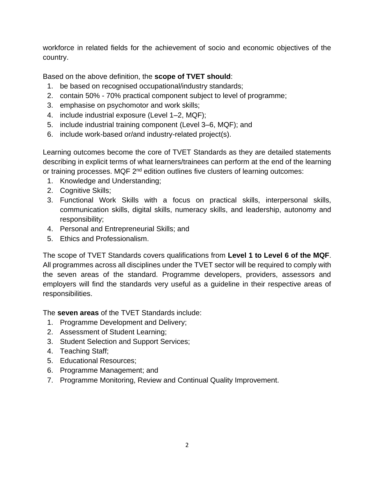workforce in related fields for the achievement of socio and economic objectives of the country.

Based on the above definition, the **scope of TVET should**:

- 1. be based on recognised occupational/industry standards;
- 2. contain 50% 70% practical component subject to level of programme;
- 3. emphasise on psychomotor and work skills;
- 4. include industrial exposure (Level 1–2, MQF);
- 5. include industrial training component (Level 3–6, MQF); and
- 6. include work-based or/and industry-related project(s).

Learning outcomes become the core of TVET Standards as they are detailed statements describing in explicit terms of what learners/trainees can perform at the end of the learning or training processes. MQF 2<sup>nd</sup> edition outlines five clusters of learning outcomes:

- 1. Knowledge and Understanding;
- 2. Cognitive Skills;
- 3. Functional Work Skills with a focus on practical skills, interpersonal skills, communication skills, digital skills, numeracy skills, and leadership, autonomy and responsibility;
- 4. Personal and Entrepreneurial Skills; and
- 5. Ethics and Professionalism.

The scope of TVET Standards covers qualifications from **Level 1 to Level 6 of the MQF**. All programmes across all disciplines under the TVET sector will be required to comply with the seven areas of the standard. Programme developers, providers, assessors and employers will find the standards very useful as a guideline in their respective areas of responsibilities.

The **seven areas** of the TVET Standards include:

- 1. Programme Development and Delivery;
- 2. Assessment of Student Learning;
- 3. Student Selection and Support Services;
- 4. Teaching Staff;
- 5. Educational Resources;
- 6. Programme Management; and
- 7. Programme Monitoring, Review and Continual Quality Improvement.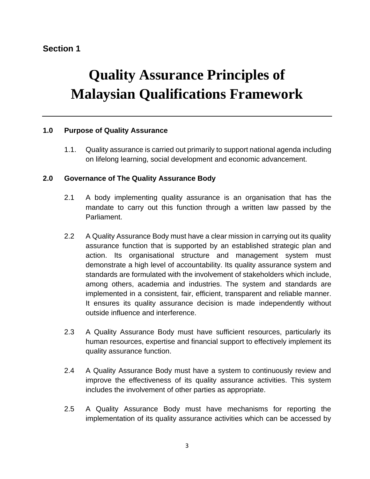#### **Section 1**

# **Quality Assurance Principles of Malaysian Qualifications Framework**

#### **1.0 Purpose of Quality Assurance**

1.1. Quality assurance is carried out primarily to support national agenda including on lifelong learning, social development and economic advancement.

#### **2.0 Governance of The Quality Assurance Body**

- 2.1 A body implementing quality assurance is an organisation that has the mandate to carry out this function through a written law passed by the Parliament.
- 2.2 A Quality Assurance Body must have a clear mission in carrying out its quality assurance function that is supported by an established strategic plan and action. Its organisational structure and management system must demonstrate a high level of accountability. Its quality assurance system and standards are formulated with the involvement of stakeholders which include, among others, academia and industries. The system and standards are implemented in a consistent, fair, efficient, transparent and reliable manner. It ensures its quality assurance decision is made independently without outside influence and interference.
- 2.3 A Quality Assurance Body must have sufficient resources, particularly its human resources, expertise and financial support to effectively implement its quality assurance function.
- 2.4 A Quality Assurance Body must have a system to continuously review and improve the effectiveness of its quality assurance activities. This system includes the involvement of other parties as appropriate.
- 2.5 A Quality Assurance Body must have mechanisms for reporting the implementation of its quality assurance activities which can be accessed by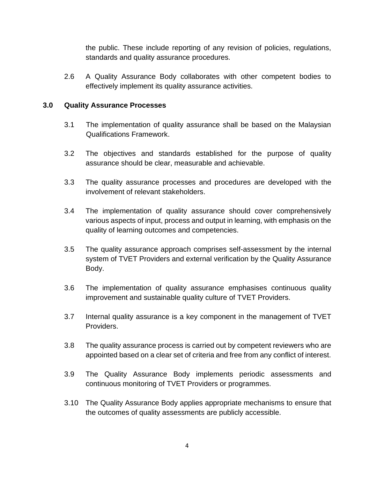the public. These include reporting of any revision of policies, regulations, standards and quality assurance procedures.

2.6 A Quality Assurance Body collaborates with other competent bodies to effectively implement its quality assurance activities.

#### **3.0 Quality Assurance Processes**

- 3.1 The implementation of quality assurance shall be based on the Malaysian Qualifications Framework.
- 3.2 The objectives and standards established for the purpose of quality assurance should be clear, measurable and achievable.
- 3.3 The quality assurance processes and procedures are developed with the involvement of relevant stakeholders.
- 3.4 The implementation of quality assurance should cover comprehensively various aspects of input, process and output in learning, with emphasis on the quality of learning outcomes and competencies.
- 3.5 The quality assurance approach comprises self-assessment by the internal system of TVET Providers and external verification by the Quality Assurance Body.
- 3.6 The implementation of quality assurance emphasises continuous quality improvement and sustainable quality culture of TVET Providers.
- 3.7 Internal quality assurance is a key component in the management of TVET Providers.
- 3.8 The quality assurance process is carried out by competent reviewers who are appointed based on a clear set of criteria and free from any conflict of interest.
- 3.9 The Quality Assurance Body implements periodic assessments and continuous monitoring of TVET Providers or programmes.
- 3.10 The Quality Assurance Body applies appropriate mechanisms to ensure that the outcomes of quality assessments are publicly accessible.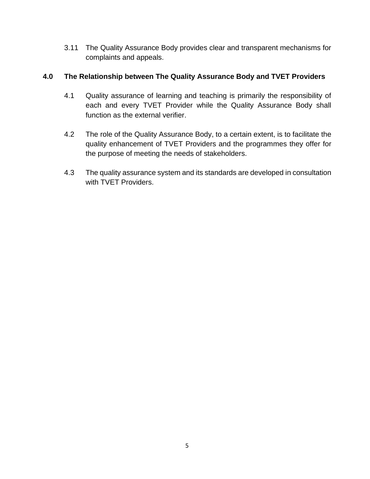3.11 The Quality Assurance Body provides clear and transparent mechanisms for complaints and appeals.

#### **4.0 The Relationship between The Quality Assurance Body and TVET Providers**

- 4.1 Quality assurance of learning and teaching is primarily the responsibility of each and every TVET Provider while the Quality Assurance Body shall function as the external verifier.
- 4.2 The role of the Quality Assurance Body, to a certain extent, is to facilitate the quality enhancement of TVET Providers and the programmes they offer for the purpose of meeting the needs of stakeholders.
- 4.3 The quality assurance system and its standards are developed in consultation with TVET Providers.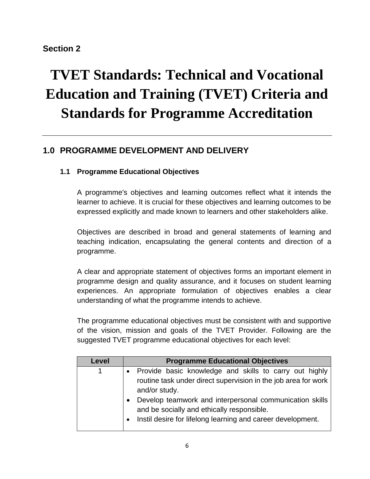#### **Section 2**

# **TVET Standards: Technical and Vocational Education and Training (TVET) Criteria and Standards for Programme Accreditation**

# **1.0 PROGRAMME DEVELOPMENT AND DELIVERY**

#### **1.1 Programme Educational Objectives**

A programme's objectives and learning outcomes reflect what it intends the learner to achieve. It is crucial for these objectives and learning outcomes to be expressed explicitly and made known to learners and other stakeholders alike.

Objectives are described in broad and general statements of learning and teaching indication, encapsulating the general contents and direction of a programme.

A clear and appropriate statement of objectives forms an important element in programme design and quality assurance, and it focuses on student learning experiences. An appropriate formulation of objectives enables a clear understanding of what the programme intends to achieve.

The programme educational objectives must be consistent with and supportive of the vision, mission and goals of the TVET Provider. Following are the suggested TVET programme educational objectives for each level:

| Level        | <b>Programme Educational Objectives</b>                                                                                                                              |  |  |  |  |  |  |
|--------------|----------------------------------------------------------------------------------------------------------------------------------------------------------------------|--|--|--|--|--|--|
| $\mathbf{1}$ | Provide basic knowledge and skills to carry out highly                                                                                                               |  |  |  |  |  |  |
|              | routine task under direct supervision in the job area for work<br>and/or study.                                                                                      |  |  |  |  |  |  |
|              | Develop teamwork and interpersonal communication skills<br>and be socially and ethically responsible.<br>Instil desire for lifelong learning and career development. |  |  |  |  |  |  |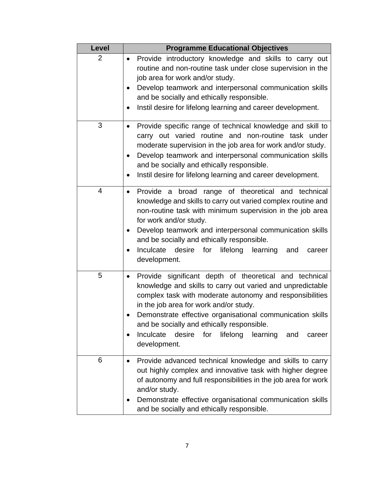| Level | <b>Programme Educational Objectives</b>                                                                                                                                                                                                                                                                                                                                                                                                                |  |  |  |  |
|-------|--------------------------------------------------------------------------------------------------------------------------------------------------------------------------------------------------------------------------------------------------------------------------------------------------------------------------------------------------------------------------------------------------------------------------------------------------------|--|--|--|--|
| 2     | Provide introductory knowledge and skills to carry out<br>٠<br>routine and non-routine task under close supervision in the<br>job area for work and/or study.<br>Develop teamwork and interpersonal communication skills<br>and be socially and ethically responsible.<br>Instil desire for lifelong learning and career development.                                                                                                                  |  |  |  |  |
| 3     | Provide specific range of technical knowledge and skill to<br>$\bullet$<br>carry out varied routine and non-routine task under<br>moderate supervision in the job area for work and/or study.<br>Develop teamwork and interpersonal communication skills<br>and be socially and ethically responsible.<br>Instil desire for lifelong learning and career development.<br>$\bullet$                                                                     |  |  |  |  |
| 4     | Provide a broad range of theoretical and technical<br>$\bullet$<br>knowledge and skills to carry out varied complex routine and<br>non-routine task with minimum supervision in the job area<br>for work and/or study.<br>Develop teamwork and interpersonal communication skills<br>$\bullet$<br>and be socially and ethically responsible.<br>Inculcate<br>desire<br>for<br>lifelong<br>learning<br>and<br>career<br>development.                    |  |  |  |  |
| 5     | Provide significant depth of theoretical and technical<br>$\bullet$<br>knowledge and skills to carry out varied and unpredictable<br>complex task with moderate autonomy and responsibilities<br>in the job area for work and/or study.<br>Demonstrate effective organisational communication skills<br>and be socially and ethically responsible.<br>Inculcate<br>desire<br>for<br>lifelong<br>learning<br>and<br>career<br>$\bullet$<br>development. |  |  |  |  |
| 6     | Provide advanced technical knowledge and skills to carry<br>out highly complex and innovative task with higher degree<br>of autonomy and full responsibilities in the job area for work<br>and/or study.<br>Demonstrate effective organisational communication skills<br>and be socially and ethically responsible.                                                                                                                                    |  |  |  |  |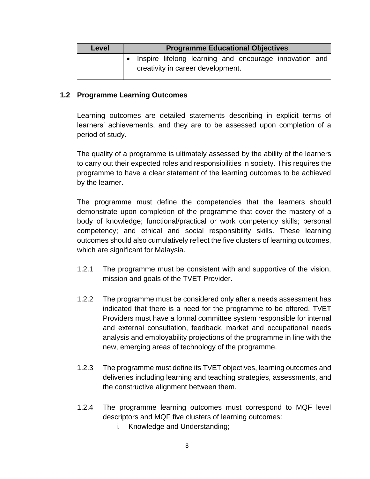| <b>Level</b> | <b>Programme Educational Objectives</b>                                                               |  |  |  |  |  |  |  |  |
|--------------|-------------------------------------------------------------------------------------------------------|--|--|--|--|--|--|--|--|
|              | $\bullet$ Inspire lifelong learning and encourage innovation and<br>creativity in career development. |  |  |  |  |  |  |  |  |

#### **1.2 Programme Learning Outcomes**

Learning outcomes are detailed statements describing in explicit terms of learners' achievements, and they are to be assessed upon completion of a period of study.

The quality of a programme is ultimately assessed by the ability of the learners to carry out their expected roles and responsibilities in society. This requires the programme to have a clear statement of the learning outcomes to be achieved by the learner.

The programme must define the competencies that the learners should demonstrate upon completion of the programme that cover the mastery of a body of knowledge; functional/practical or work competency skills; personal competency; and ethical and social responsibility skills. These learning outcomes should also cumulatively reflect the five clusters of learning outcomes, which are significant for Malaysia.

- 1.2.1 The programme must be consistent with and supportive of the vision, mission and goals of the TVET Provider.
- 1.2.2 The programme must be considered only after a needs assessment has indicated that there is a need for the programme to be offered. TVET Providers must have a formal committee system responsible for internal and external consultation, feedback, market and occupational needs analysis and employability projections of the programme in line with the new, emerging areas of technology of the programme.
- 1.2.3 The programme must define its TVET objectives, learning outcomes and deliveries including learning and teaching strategies, assessments, and the constructive alignment between them.
- 1.2.4 The programme learning outcomes must correspond to MQF level descriptors and MQF five clusters of learning outcomes:
	- i. Knowledge and Understanding;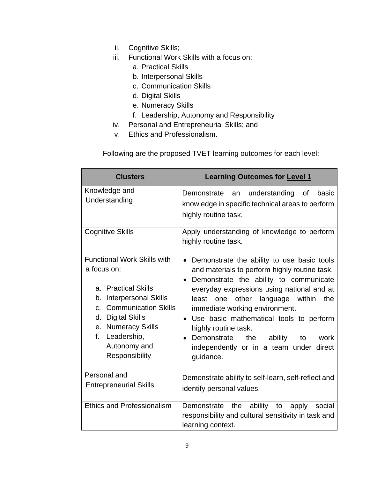- ii. Cognitive Skills;
- iii. Functional Work Skills with a focus on:
	- a. Practical Skills
	- b. Interpersonal Skills
	- c. Communication Skills
	- d. Digital Skills
	- e. Numeracy Skills
	- f. Leadership, Autonomy and Responsibility
- iv. Personal and Entrepreneurial Skills; and
- v. Ethics and Professionalism.

Following are the proposed TVET learning outcomes for each level:

| <b>Clusters</b>                                                                                                                                                                                                                                                         | <b>Learning Outcomes for Level 1</b>                                                                                                                                                                                                                                                                                                                                                                                                                                     |  |  |  |  |
|-------------------------------------------------------------------------------------------------------------------------------------------------------------------------------------------------------------------------------------------------------------------------|--------------------------------------------------------------------------------------------------------------------------------------------------------------------------------------------------------------------------------------------------------------------------------------------------------------------------------------------------------------------------------------------------------------------------------------------------------------------------|--|--|--|--|
| Knowledge and<br>Understanding                                                                                                                                                                                                                                          | Demonstrate<br>understanding<br>of<br>basic<br>an<br>knowledge in specific technical areas to perform<br>highly routine task.                                                                                                                                                                                                                                                                                                                                            |  |  |  |  |
| <b>Cognitive Skills</b>                                                                                                                                                                                                                                                 | Apply understanding of knowledge to perform<br>highly routine task.                                                                                                                                                                                                                                                                                                                                                                                                      |  |  |  |  |
| <b>Functional Work Skills with</b><br>a focus on:<br>a. Practical Skills<br><b>Interpersonal Skills</b><br>b.<br><b>Communication Skills</b><br>$C_{\cdot}$<br><b>Digital Skills</b><br>d.<br>e. Numeracy Skills<br>f.<br>Leadership,<br>Autonomy and<br>Responsibility | Demonstrate the ability to use basic tools<br>$\bullet$<br>and materials to perform highly routine task.<br>Demonstrate the ability to communicate<br>everyday expressions using national and at<br>least<br>other<br>language<br>within<br>the<br>one<br>immediate working environment.<br>Use basic mathematical tools to perform<br>highly routine task.<br>the<br>Demonstrate<br>ability<br>work<br>to<br>independently or in a team<br>under<br>direct<br>guidance. |  |  |  |  |
| Personal and<br><b>Entrepreneurial Skills</b>                                                                                                                                                                                                                           | Demonstrate ability to self-learn, self-reflect and<br>identify personal values.                                                                                                                                                                                                                                                                                                                                                                                         |  |  |  |  |
| <b>Ethics and Professionalism</b>                                                                                                                                                                                                                                       | ability to<br>Demonstrate<br>the<br>social<br>apply<br>responsibility and cultural sensitivity in task and<br>learning context.                                                                                                                                                                                                                                                                                                                                          |  |  |  |  |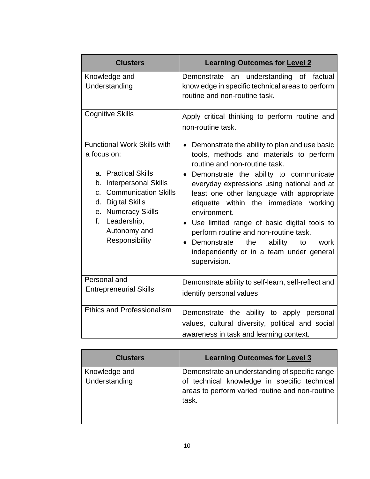| <b>Clusters</b>                                                                                                                                                                                                                                             | <b>Learning Outcomes for Level 2</b>                                                                                                                                                                                                                                                                                                                                                                                                                                                                                        |  |  |  |
|-------------------------------------------------------------------------------------------------------------------------------------------------------------------------------------------------------------------------------------------------------------|-----------------------------------------------------------------------------------------------------------------------------------------------------------------------------------------------------------------------------------------------------------------------------------------------------------------------------------------------------------------------------------------------------------------------------------------------------------------------------------------------------------------------------|--|--|--|
| Knowledge and<br>Understanding                                                                                                                                                                                                                              | understanding of factual<br>Demonstrate<br>an<br>knowledge in specific technical areas to perform<br>routine and non-routine task.                                                                                                                                                                                                                                                                                                                                                                                          |  |  |  |
| <b>Cognitive Skills</b>                                                                                                                                                                                                                                     | Apply critical thinking to perform routine and<br>non-routine task.                                                                                                                                                                                                                                                                                                                                                                                                                                                         |  |  |  |
| <b>Functional Work Skills with</b><br>a focus on:<br>a. Practical Skills<br><b>Interpersonal Skills</b><br>b.<br><b>Communication Skills</b><br>C.<br><b>Digital Skills</b><br>d.<br>e. Numeracy Skills<br>f. Leadership,<br>Autonomy and<br>Responsibility | Demonstrate the ability to plan and use basic<br>tools, methods and materials to perform<br>routine and non-routine task.<br>Demonstrate the ability to communicate<br>everyday expressions using national and at<br>least one other language with appropriate<br>etiquette within the immediate working<br>environment.<br>Use limited range of basic digital tools to<br>perform routine and non-routine task.<br>Demonstrate<br>the<br>ability<br>work<br>to<br>independently or in a team under general<br>supervision. |  |  |  |
| Personal and<br><b>Entrepreneurial Skills</b>                                                                                                                                                                                                               | Demonstrate ability to self-learn, self-reflect and<br>identify personal values                                                                                                                                                                                                                                                                                                                                                                                                                                             |  |  |  |
| <b>Ethics and Professionalism</b>                                                                                                                                                                                                                           | Demonstrate the ability to apply personal<br>values, cultural diversity, political and social<br>awareness in task and learning context.                                                                                                                                                                                                                                                                                                                                                                                    |  |  |  |

| <b>Clusters</b>                | <b>Learning Outcomes for Level 3</b>                                                                                                                       |
|--------------------------------|------------------------------------------------------------------------------------------------------------------------------------------------------------|
| Knowledge and<br>Understanding | Demonstrate an understanding of specific range<br>of technical knowledge in specific technical<br>areas to perform varied routine and non-routine<br>task. |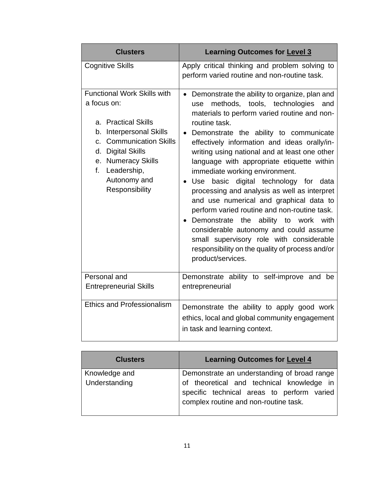| <b>Clusters</b>                                                                                                                                                                                                                                                         | <b>Learning Outcomes for Level 3</b>                                                                                                                                                                                                                                                                                                                                                                                                                                                                                                                                                                                                                                                                                                                                                                   |  |  |  |
|-------------------------------------------------------------------------------------------------------------------------------------------------------------------------------------------------------------------------------------------------------------------------|--------------------------------------------------------------------------------------------------------------------------------------------------------------------------------------------------------------------------------------------------------------------------------------------------------------------------------------------------------------------------------------------------------------------------------------------------------------------------------------------------------------------------------------------------------------------------------------------------------------------------------------------------------------------------------------------------------------------------------------------------------------------------------------------------------|--|--|--|
| <b>Cognitive Skills</b>                                                                                                                                                                                                                                                 | Apply critical thinking and problem solving to<br>perform varied routine and non-routine task.                                                                                                                                                                                                                                                                                                                                                                                                                                                                                                                                                                                                                                                                                                         |  |  |  |
| <b>Functional Work Skills with</b><br>a focus on:<br>a. Practical Skills<br><b>Interpersonal Skills</b><br>b.<br><b>Communication Skills</b><br>$C_{\cdot}$<br><b>Digital Skills</b><br>d.<br>e. Numeracy Skills<br>Leadership,<br>f.<br>Autonomy and<br>Responsibility | • Demonstrate the ability to organize, plan and<br>methods, tools, technologies<br>and<br>use<br>materials to perform varied routine and non-<br>routine task.<br>Demonstrate the ability to communicate<br>effectively information and ideas orally/in-<br>writing using national and at least one other<br>language with appropriate etiquette within<br>immediate working environment.<br>Use<br>basic digital technology for data<br>processing and analysis as well as interpret<br>and use numerical and graphical data to<br>perform varied routine and non-routine task.<br>Demonstrate the<br>ability to work with<br>$\bullet$<br>considerable autonomy and could assume<br>small supervisory role with considerable<br>responsibility on the quality of process and/or<br>product/services. |  |  |  |
| Personal and<br><b>Entrepreneurial Skills</b>                                                                                                                                                                                                                           | Demonstrate ability to self-improve and be<br>entrepreneurial                                                                                                                                                                                                                                                                                                                                                                                                                                                                                                                                                                                                                                                                                                                                          |  |  |  |
| <b>Ethics and Professionalism</b>                                                                                                                                                                                                                                       | Demonstrate the ability to apply good work<br>ethics, local and global community engagement<br>in task and learning context.                                                                                                                                                                                                                                                                                                                                                                                                                                                                                                                                                                                                                                                                           |  |  |  |

| <b>Clusters</b> | <b>Learning Outcomes for Level 4</b>                                                                                             |
|-----------------|----------------------------------------------------------------------------------------------------------------------------------|
| Knowledge and   | Demonstrate an understanding of broad range                                                                                      |
| Understanding   | of theoretical and technical knowledge in<br>specific technical areas to perform varied<br>complex routine and non-routine task. |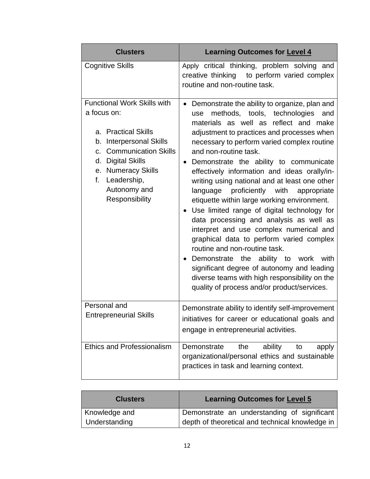| <b>Clusters</b>                                                                                                                                                                                                                                             | <b>Learning Outcomes for Level 4</b>                                                                                                                                                                                                                                                                                                                                                                                                                                                                                                                                                                                                                                                                                                                                                                                                                                                                                                |  |  |  |
|-------------------------------------------------------------------------------------------------------------------------------------------------------------------------------------------------------------------------------------------------------------|-------------------------------------------------------------------------------------------------------------------------------------------------------------------------------------------------------------------------------------------------------------------------------------------------------------------------------------------------------------------------------------------------------------------------------------------------------------------------------------------------------------------------------------------------------------------------------------------------------------------------------------------------------------------------------------------------------------------------------------------------------------------------------------------------------------------------------------------------------------------------------------------------------------------------------------|--|--|--|
| <b>Cognitive Skills</b>                                                                                                                                                                                                                                     | Apply critical thinking, problem solving and<br>creative thinking to perform varied complex<br>routine and non-routine task.                                                                                                                                                                                                                                                                                                                                                                                                                                                                                                                                                                                                                                                                                                                                                                                                        |  |  |  |
| <b>Functional Work Skills with</b><br>a focus on:<br>a. Practical Skills<br><b>Interpersonal Skills</b><br>b.<br><b>Communication Skills</b><br>C.<br><b>Digital Skills</b><br>d.<br>e. Numeracy Skills<br>f. Leadership,<br>Autonomy and<br>Responsibility | Demonstrate the ability to organize, plan and<br>$\bullet$<br>methods, tools, technologies<br>and<br>use<br>materials as well as reflect and make<br>adjustment to practices and processes when<br>necessary to perform varied complex routine<br>and non-routine task.<br>Demonstrate the ability to communicate<br>$\bullet$<br>effectively information and ideas orally/in-<br>writing using national and at least one other<br>language proficiently with<br>appropriate<br>etiquette within large working environment.<br>Use limited range of digital technology for<br>data processing and analysis as well as<br>interpret and use complex numerical and<br>graphical data to perform varied complex<br>routine and non-routine task.<br>Demonstrate the ability to work with<br>significant degree of autonomy and leading<br>diverse teams with high responsibility on the<br>quality of process and/or product/services. |  |  |  |
| Personal and<br><b>Entrepreneurial Skills</b>                                                                                                                                                                                                               | Demonstrate ability to identify self-improvement<br>initiatives for career or educational goals and<br>engage in entrepreneurial activities.                                                                                                                                                                                                                                                                                                                                                                                                                                                                                                                                                                                                                                                                                                                                                                                        |  |  |  |
| <b>Ethics and Professionalism</b>                                                                                                                                                                                                                           | Demonstrate<br>the<br>ability<br>to<br>apply<br>organizational/personal ethics and sustainable<br>practices in task and learning context.                                                                                                                                                                                                                                                                                                                                                                                                                                                                                                                                                                                                                                                                                                                                                                                           |  |  |  |

| <b>Clusters</b> | <b>Learning Outcomes for Level 5</b>            |  |  |  |  |
|-----------------|-------------------------------------------------|--|--|--|--|
| Knowledge and   | Demonstrate an understanding of significant     |  |  |  |  |
| Understanding   | depth of theoretical and technical knowledge in |  |  |  |  |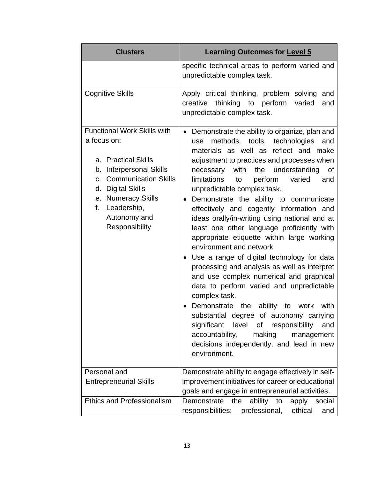| <b>Clusters</b>                                                                                                                                                                                                                                            | <b>Learning Outcomes for Level 5</b>                                                                                                                                                                                                                                                                                                                                                                                                                                                                                                                                                                                                                                                                                                                                                                                                                                                                                                                                                                                                    |  |  |  |  |
|------------------------------------------------------------------------------------------------------------------------------------------------------------------------------------------------------------------------------------------------------------|-----------------------------------------------------------------------------------------------------------------------------------------------------------------------------------------------------------------------------------------------------------------------------------------------------------------------------------------------------------------------------------------------------------------------------------------------------------------------------------------------------------------------------------------------------------------------------------------------------------------------------------------------------------------------------------------------------------------------------------------------------------------------------------------------------------------------------------------------------------------------------------------------------------------------------------------------------------------------------------------------------------------------------------------|--|--|--|--|
|                                                                                                                                                                                                                                                            | specific technical areas to perform varied and<br>unpredictable complex task.                                                                                                                                                                                                                                                                                                                                                                                                                                                                                                                                                                                                                                                                                                                                                                                                                                                                                                                                                           |  |  |  |  |
| <b>Cognitive Skills</b>                                                                                                                                                                                                                                    | Apply critical thinking, problem solving<br>and<br>creative<br>thinking<br>to perform<br>varied<br>and<br>unpredictable complex task.                                                                                                                                                                                                                                                                                                                                                                                                                                                                                                                                                                                                                                                                                                                                                                                                                                                                                                   |  |  |  |  |
| <b>Functional Work Skills with</b><br>a focus on:<br>a. Practical Skills<br>b. Interpersonal Skills<br><b>Communication Skills</b><br>$C_{\cdot}$<br><b>Digital Skills</b><br>d.<br>e. Numeracy Skills<br>f. Leadership,<br>Autonomy and<br>Responsibility | Demonstrate the ability to organize, plan and<br>methods, tools, technologies<br>and<br>use<br>materials as well as reflect and make<br>adjustment to practices and processes when<br>with the understanding<br>necessary<br>of<br>limitations<br>perform<br>varied<br>and<br>to<br>unpredictable complex task.<br>Demonstrate the ability to communicate<br>effectively and cogently information and<br>ideas orally/in-writing using national and at<br>least one other language proficiently with<br>appropriate etiquette within large working<br>environment and network<br>Use a range of digital technology for data<br>processing and analysis as well as interpret<br>and use complex numerical and graphical<br>data to perform varied and unpredictable<br>complex task.<br>Demonstrate the ability to work<br>with<br>substantial degree of autonomy carrying<br>significant<br>level<br>of<br>responsibility<br>and<br>accountability,<br>making<br>management<br>decisions independently, and lead in new<br>environment. |  |  |  |  |
| Personal and<br><b>Entrepreneurial Skills</b>                                                                                                                                                                                                              | Demonstrate ability to engage effectively in self-<br>improvement initiatives for career or educational                                                                                                                                                                                                                                                                                                                                                                                                                                                                                                                                                                                                                                                                                                                                                                                                                                                                                                                                 |  |  |  |  |
| <b>Ethics and Professionalism</b>                                                                                                                                                                                                                          | goals and engage in entrepreneurial activities.<br>ability<br>Demonstrate<br>the<br>to<br>apply<br>social<br>professional,<br>responsibilities;<br>ethical<br>and                                                                                                                                                                                                                                                                                                                                                                                                                                                                                                                                                                                                                                                                                                                                                                                                                                                                       |  |  |  |  |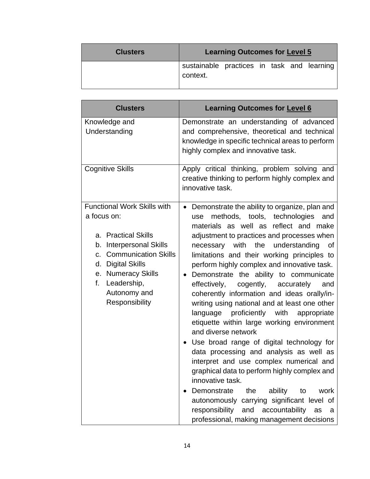| <b>Clusters</b> | <b>Learning Outcomes for Level 5</b>                   |  |  |  |  |  |
|-----------------|--------------------------------------------------------|--|--|--|--|--|
|                 | sustainable practices in task and learning<br>context. |  |  |  |  |  |

| <b>Clusters</b>                                                                                                                                                                                                                                                          | <b>Learning Outcomes for Level 6</b>                                                                                                                                                                                                                                                                                                                                                                                                                                                                                                                                                                                                                                                                                                                                                                                                                                                                                                                                                                                                                  |
|--------------------------------------------------------------------------------------------------------------------------------------------------------------------------------------------------------------------------------------------------------------------------|-------------------------------------------------------------------------------------------------------------------------------------------------------------------------------------------------------------------------------------------------------------------------------------------------------------------------------------------------------------------------------------------------------------------------------------------------------------------------------------------------------------------------------------------------------------------------------------------------------------------------------------------------------------------------------------------------------------------------------------------------------------------------------------------------------------------------------------------------------------------------------------------------------------------------------------------------------------------------------------------------------------------------------------------------------|
| Knowledge and<br>Understanding                                                                                                                                                                                                                                           | Demonstrate an understanding of advanced<br>and comprehensive, theoretical and technical<br>knowledge in specific technical areas to perform<br>highly complex and innovative task.                                                                                                                                                                                                                                                                                                                                                                                                                                                                                                                                                                                                                                                                                                                                                                                                                                                                   |
| <b>Cognitive Skills</b>                                                                                                                                                                                                                                                  | Apply critical thinking, problem solving and<br>creative thinking to perform highly complex and<br>innovative task.                                                                                                                                                                                                                                                                                                                                                                                                                                                                                                                                                                                                                                                                                                                                                                                                                                                                                                                                   |
| <b>Functional Work Skills with</b><br>a focus on:<br><b>Practical Skills</b><br>a.<br><b>Interpersonal Skills</b><br>b.<br><b>Communication Skills</b><br>c.<br><b>Digital Skills</b><br>d.<br>e. Numeracy Skills<br>f.<br>Leadership,<br>Autonomy and<br>Responsibility | Demonstrate the ability to organize, plan and<br>methods, tools, technologies<br>and<br>use<br>materials as well as<br>reflect and make<br>adjustment to practices and processes when<br>with the<br>understanding<br>necessary<br>οf<br>limitations and their working principles to<br>perform highly complex and innovative task.<br>Demonstrate the ability to communicate<br>cogently,<br>effectively,<br>accurately<br>and<br>coherently information and ideas orally/in-<br>writing using national and at least one other<br>language proficiently with<br>appropriate<br>etiquette within large working environment<br>and diverse network<br>Use broad range of digital technology for<br>data processing and analysis as well as<br>interpret and use complex numerical and<br>graphical data to perform highly complex and<br>innovative task.<br>Demonstrate<br>the<br>ability<br>work<br>to<br>autonomously carrying significant level of<br>responsibility<br>and accountability<br>as<br>a<br>professional, making management decisions |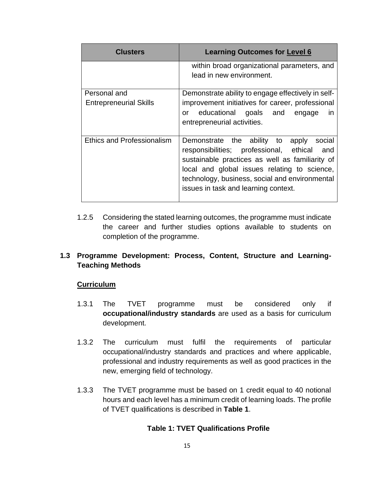| <b>Clusters</b>                               | <b>Learning Outcomes for Level 6</b>                                                                                                                                                                                                                                                      |
|-----------------------------------------------|-------------------------------------------------------------------------------------------------------------------------------------------------------------------------------------------------------------------------------------------------------------------------------------------|
|                                               | within broad organizational parameters, and<br>lead in new environment.                                                                                                                                                                                                                   |
| Personal and<br><b>Entrepreneurial Skills</b> | Demonstrate ability to engage effectively in self-<br>improvement initiatives for career, professional<br>educational goals and<br><i>in</i><br>or<br>engage<br>entrepreneurial activities.                                                                                               |
| <b>Ethics and Professionalism</b>             | Demonstrate the ability to apply<br>social<br>responsibilities; professional, ethical<br>and<br>sustainable practices as well as familiarity of<br>local and global issues relating to science,<br>technology, business, social and environmental<br>issues in task and learning context. |

1.2.5 Considering the stated learning outcomes, the programme must indicate the career and further studies options available to students on completion of the programme.

#### **1.3 Programme Development: Process, Content, Structure and Learning-Teaching Methods**

#### **Curriculum**

- 1.3.1 The TVET programme must be considered only if **occupational/industry standards** are used as a basis for curriculum development.
- 1.3.2 The curriculum must fulfil the requirements of particular occupational/industry standards and practices and where applicable, professional and industry requirements as well as good practices in the new, emerging field of technology.
- 1.3.3 The TVET programme must be based on 1 credit equal to 40 notional hours and each level has a minimum credit of learning loads. The profile of TVET qualifications is described in **Table 1**.

#### **Table 1: TVET Qualifications Profile**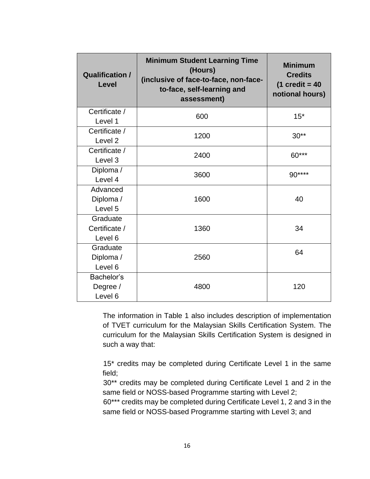| <b>Qualification /</b><br><b>Level</b> | <b>Minimum Student Learning Time</b><br>(Hours)<br>(inclusive of face-to-face, non-face-<br>to-face, self-learning and<br>assessment) | <b>Minimum</b><br><b>Credits</b><br>$(1 \text{ credit} = 40$<br>notional hours) |
|----------------------------------------|---------------------------------------------------------------------------------------------------------------------------------------|---------------------------------------------------------------------------------|
| Certificate /                          | 600                                                                                                                                   | $15*$                                                                           |
| Level 1                                |                                                                                                                                       |                                                                                 |
| Certificate /<br>Level <sub>2</sub>    | 1200                                                                                                                                  | $30**$                                                                          |
|                                        |                                                                                                                                       |                                                                                 |
| Certificate /<br>Level 3               | 2400                                                                                                                                  | $60***$                                                                         |
| Diploma /                              |                                                                                                                                       |                                                                                 |
| Level 4                                | 3600                                                                                                                                  | 90****                                                                          |
| Advanced                               |                                                                                                                                       |                                                                                 |
| Diploma /                              | 1600                                                                                                                                  | 40                                                                              |
| Level 5                                |                                                                                                                                       |                                                                                 |
| Graduate                               |                                                                                                                                       |                                                                                 |
| Certificate /                          | 1360                                                                                                                                  | 34                                                                              |
| Level 6                                |                                                                                                                                       |                                                                                 |
| Graduate                               | 2560                                                                                                                                  | 64                                                                              |
| Diploma /                              |                                                                                                                                       |                                                                                 |
| Level 6                                |                                                                                                                                       |                                                                                 |
| Bachelor's                             |                                                                                                                                       |                                                                                 |
| Degree /                               | 4800                                                                                                                                  | 120                                                                             |
| Level 6                                |                                                                                                                                       |                                                                                 |

The information in Table 1 also includes description of implementation of TVET curriculum for the Malaysian Skills Certification System. The curriculum for the Malaysian Skills Certification System is designed in such a way that:

15\* credits may be completed during Certificate Level 1 in the same field;

30\*\* credits may be completed during Certificate Level 1 and 2 in the same field or NOSS-based Programme starting with Level 2;

60\*\*\* credits may be completed during Certificate Level 1, 2 and 3 in the same field or NOSS-based Programme starting with Level 3; and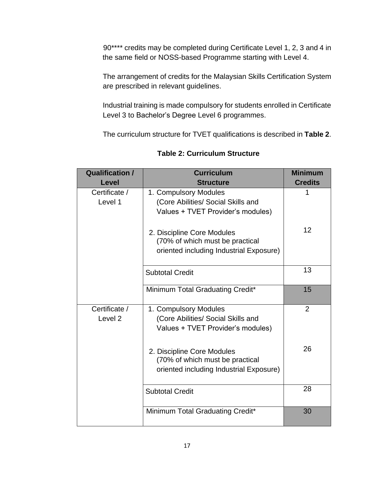90\*\*\*\* credits may be completed during Certificate Level 1, 2, 3 and 4 in the same field or NOSS-based Programme starting with Level 4.

The arrangement of credits for the Malaysian Skills Certification System are prescribed in relevant guidelines.

Industrial training is made compulsory for students enrolled in Certificate Level 3 to Bachelor's Degree Level 6 programmes.

The curriculum structure for TVET qualifications is described in **Table 2**.

| <b>Qualification /</b> | <b>Curriculum</b>                       | <b>Minimum</b> |
|------------------------|-----------------------------------------|----------------|
| <b>Level</b>           | <b>Structure</b>                        | <b>Credits</b> |
| Certificate /          | 1. Compulsory Modules                   |                |
| Level 1                | (Core Abilities/ Social Skills and      |                |
|                        | Values + TVET Provider's modules)       |                |
|                        | 2. Discipline Core Modules              | 12             |
|                        | (70% of which must be practical         |                |
|                        | oriented including Industrial Exposure) |                |
|                        | <b>Subtotal Credit</b>                  | 13             |
|                        | Minimum Total Graduating Credit*        | 15             |
| Certificate /          | 1. Compulsory Modules                   | $\overline{2}$ |
| Level <sub>2</sub>     | (Core Abilities/ Social Skills and      |                |
|                        | Values + TVET Provider's modules)       |                |
|                        | 2. Discipline Core Modules              | 26             |
|                        | (70% of which must be practical         |                |
|                        | oriented including Industrial Exposure) |                |
|                        | <b>Subtotal Credit</b>                  | 28             |
|                        |                                         |                |
|                        | Minimum Total Graduating Credit*        | 30             |

**Table 2: Curriculum Structure**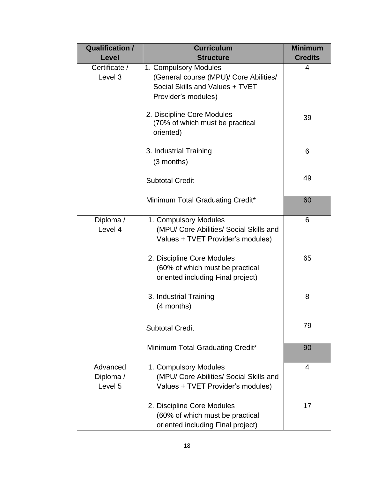| <b>Qualification /</b><br>Level  | <b>Curriculum</b><br><b>Structure</b>                                                                                     | <b>Minimum</b><br><b>Credits</b> |
|----------------------------------|---------------------------------------------------------------------------------------------------------------------------|----------------------------------|
| Certificate /<br>Level 3         | 1. Compulsory Modules<br>(General course (MPU)/ Core Abilities/<br>Social Skills and Values + TVET<br>Provider's modules) | 4                                |
|                                  | 2. Discipline Core Modules<br>(70% of which must be practical<br>oriented)                                                | 39                               |
|                                  | 3. Industrial Training<br>(3 months)                                                                                      | 6                                |
|                                  | <b>Subtotal Credit</b>                                                                                                    | 49                               |
|                                  | Minimum Total Graduating Credit*                                                                                          | 60                               |
| Diploma /<br>Level 4             | 1. Compulsory Modules<br>(MPU/ Core Abilities/ Social Skills and<br>Values + TVET Provider's modules)                     | 6                                |
|                                  | 2. Discipline Core Modules<br>(60% of which must be practical<br>oriented including Final project)                        | 65                               |
|                                  | 3. Industrial Training<br>(4 months)                                                                                      | 8                                |
|                                  | <b>Subtotal Credit</b>                                                                                                    | 79                               |
|                                  | Minimum Total Graduating Credit*                                                                                          | 90                               |
| Advanced<br>Diploma /<br>Level 5 | 1. Compulsory Modules<br>(MPU/ Core Abilities/ Social Skills and<br>Values + TVET Provider's modules)                     | $\overline{4}$                   |
|                                  | 2. Discipline Core Modules<br>(60% of which must be practical<br>oriented including Final project)                        | 17                               |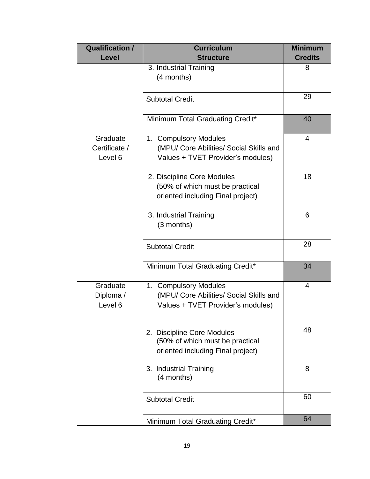| <b>Qualification /</b>               | <b>Curriculum</b>                                                                                     | <b>Minimum</b> |
|--------------------------------------|-------------------------------------------------------------------------------------------------------|----------------|
| <b>Level</b>                         | <b>Structure</b>                                                                                      | <b>Credits</b> |
|                                      | 3. Industrial Training<br>(4 months)                                                                  | 8              |
|                                      | <b>Subtotal Credit</b>                                                                                | 29             |
|                                      | Minimum Total Graduating Credit*                                                                      | 40             |
| Graduate<br>Certificate /<br>Level 6 | 1. Compulsory Modules<br>(MPU/ Core Abilities/ Social Skills and<br>Values + TVET Provider's modules) | $\overline{4}$ |
|                                      | 2. Discipline Core Modules<br>(50% of which must be practical<br>oriented including Final project)    | 18             |
|                                      | 3. Industrial Training<br>(3 months)                                                                  | 6              |
|                                      | <b>Subtotal Credit</b>                                                                                | 28             |
|                                      | Minimum Total Graduating Credit*                                                                      | 34             |
| Graduate<br>Diploma /<br>Level 6     | 1. Compulsory Modules<br>(MPU/ Core Abilities/ Social Skills and<br>Values + TVET Provider's modules) | 4              |
|                                      | 2. Discipline Core Modules<br>(50% of which must be practical<br>oriented including Final project)    | 48             |
|                                      | 3. Industrial Training<br>(4 months)                                                                  | 8              |
|                                      | <b>Subtotal Credit</b>                                                                                | 60             |
|                                      | Minimum Total Graduating Credit*                                                                      | 64             |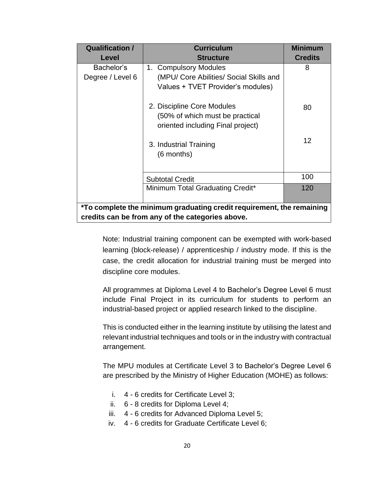| <b>Qualification /</b>                                                | <b>Curriculum</b>                       | <b>Minimum</b> |
|-----------------------------------------------------------------------|-----------------------------------------|----------------|
| <b>Level</b>                                                          | <b>Structure</b>                        | <b>Credits</b> |
| Bachelor's                                                            | 1. Compulsory Modules                   | 8              |
| Degree / Level 6                                                      | (MPU/ Core Abilities/ Social Skills and |                |
|                                                                       | Values + TVET Provider's modules)       |                |
|                                                                       | 2. Discipline Core Modules              | 80             |
|                                                                       | (50% of which must be practical         |                |
|                                                                       | oriented including Final project)       |                |
|                                                                       | 3. Industrial Training                  | 12             |
|                                                                       | (6 months)                              |                |
|                                                                       |                                         |                |
|                                                                       | <b>Subtotal Credit</b>                  | 100            |
|                                                                       | Minimum Total Graduating Credit*        | 120            |
|                                                                       |                                         |                |
| *To complete the minimum graduating credit requirement, the remaining |                                         |                |
| credits can be from any of the categories above.                      |                                         |                |

Note: Industrial training component can be exempted with work-based learning (block-release) / apprenticeship / industry mode. If this is the case, the credit allocation for industrial training must be merged into discipline core modules.

All programmes at Diploma Level 4 to Bachelor's Degree Level 6 must include Final Project in its curriculum for students to perform an industrial-based project or applied research linked to the discipline.

This is conducted either in the learning institute by utilising the latest and relevant industrial techniques and tools or in the industry with contractual arrangement.

The MPU modules at Certificate Level 3 to Bachelor's Degree Level 6 are prescribed by the Ministry of Higher Education (MOHE) as follows:

- i. 4 6 credits for Certificate Level 3;
- ii. 6 8 credits for Diploma Level 4;
- iii. 4 6 credits for Advanced Diploma Level 5;
- iv. 4 6 credits for Graduate Certificate Level 6;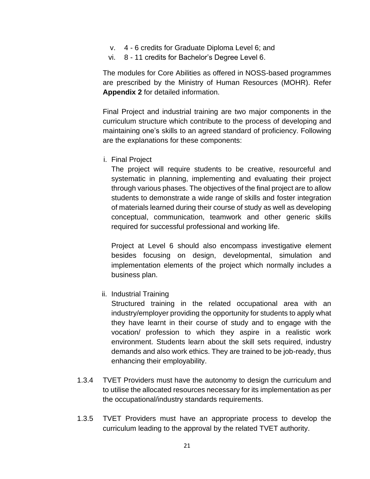- v. 4 6 credits for Graduate Diploma Level 6; and
- vi. 8 11 credits for Bachelor's Degree Level 6.

The modules for Core Abilities as offered in NOSS-based programmes are prescribed by the Ministry of Human Resources (MOHR). Refer **Appendix 2** for detailed information.

Final Project and industrial training are two major components in the curriculum structure which contribute to the process of developing and maintaining one's skills to an agreed standard of proficiency. Following are the explanations for these components:

i. Final Project

The project will require students to be creative, resourceful and systematic in planning, implementing and evaluating their project through various phases. The objectives of the final project are to allow students to demonstrate a wide range of skills and foster integration of materials learned during their course of study as well as developing conceptual, communication, teamwork and other generic skills required for successful professional and working life.

Project at Level 6 should also encompass investigative element besides focusing on design, developmental, simulation and implementation elements of the project which normally includes a business plan.

ii. Industrial Training

Structured training in the related occupational area with an industry/employer providing the opportunity for students to apply what they have learnt in their course of study and to engage with the vocation/ profession to which they aspire in a realistic work environment. Students learn about the skill sets required, industry demands and also work ethics. They are trained to be job-ready, thus enhancing their employability.

- 1.3.4 TVET Providers must have the autonomy to design the curriculum and to utilise the allocated resources necessary for its implementation as per the occupational/industry standards requirements.
- 1.3.5 TVET Providers must have an appropriate process to develop the curriculum leading to the approval by the related TVET authority.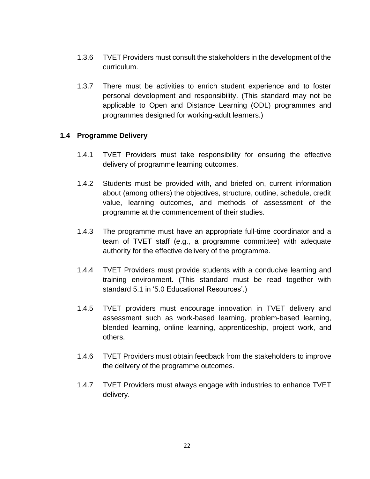- 1.3.6 TVET Providers must consult the stakeholders in the development of the curriculum.
- 1.3.7 There must be activities to enrich student experience and to foster personal development and responsibility. (This standard may not be applicable to Open and Distance Learning (ODL) programmes and programmes designed for working-adult learners.)

#### **1.4 Programme Delivery**

- 1.4.1 TVET Providers must take responsibility for ensuring the effective delivery of programme learning outcomes.
- 1.4.2 Students must be provided with, and briefed on, current information about (among others) the objectives, structure, outline, schedule, credit value, learning outcomes, and methods of assessment of the programme at the commencement of their studies.
- 1.4.3 The programme must have an appropriate full-time coordinator and a team of TVET staff (e.g., a programme committee) with adequate authority for the effective delivery of the programme.
- 1.4.4 TVET Providers must provide students with a conducive learning and training environment. (This standard must be read together with standard 5.1 in '5.0 Educational Resources'.)
- 1.4.5 TVET providers must encourage innovation in TVET delivery and assessment such as work-based learning, problem-based learning, blended learning, online learning, apprenticeship, project work, and others.
- 1.4.6 TVET Providers must obtain feedback from the stakeholders to improve the delivery of the programme outcomes.
- 1.4.7 TVET Providers must always engage with industries to enhance TVET delivery.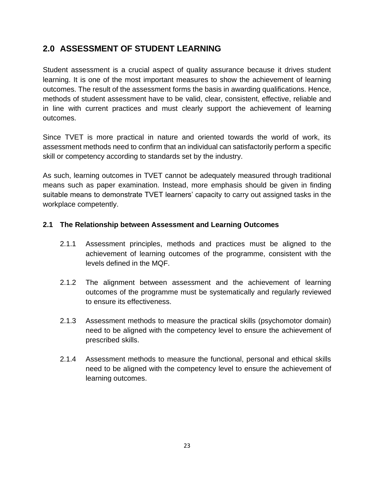## **2.0 ASSESSMENT OF STUDENT LEARNING**

Student assessment is a crucial aspect of quality assurance because it drives student learning. It is one of the most important measures to show the achievement of learning outcomes. The result of the assessment forms the basis in awarding qualifications. Hence, methods of student assessment have to be valid, clear, consistent, effective, reliable and in line with current practices and must clearly support the achievement of learning outcomes.

Since TVET is more practical in nature and oriented towards the world of work, its assessment methods need to confirm that an individual can satisfactorily perform a specific skill or competency according to standards set by the industry.

As such, learning outcomes in TVET cannot be adequately measured through traditional means such as paper examination. Instead, more emphasis should be given in finding suitable means to demonstrate TVET learners' capacity to carry out assigned tasks in the workplace competently.

#### **2.1 The Relationship between Assessment and Learning Outcomes**

- 2.1.1 Assessment principles, methods and practices must be aligned to the achievement of learning outcomes of the programme, consistent with the levels defined in the MQF.
- 2.1.2 The alignment between assessment and the achievement of learning outcomes of the programme must be systematically and regularly reviewed to ensure its effectiveness.
- 2.1.3 Assessment methods to measure the practical skills (psychomotor domain) need to be aligned with the competency level to ensure the achievement of prescribed skills.
- 2.1.4 Assessment methods to measure the functional, personal and ethical skills need to be aligned with the competency level to ensure the achievement of learning outcomes.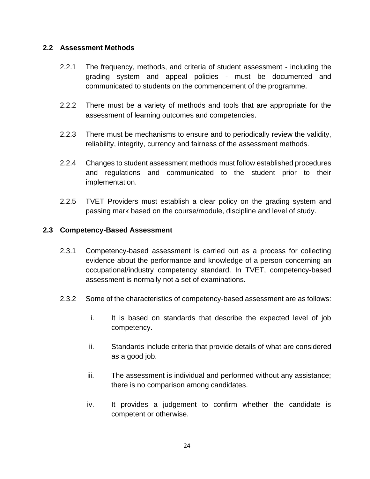#### **2.2 Assessment Methods**

- 2.2.1 The frequency, methods, and criteria of student assessment including the grading system and appeal policies - must be documented and communicated to students on the commencement of the programme.
- 2.2.2 There must be a variety of methods and tools that are appropriate for the assessment of learning outcomes and competencies.
- 2.2.3 There must be mechanisms to ensure and to periodically review the validity, reliability, integrity, currency and fairness of the assessment methods.
- 2.2.4 Changes to student assessment methods must follow established procedures and regulations and communicated to the student prior to their implementation.
- 2.2.5 TVET Providers must establish a clear policy on the grading system and passing mark based on the course/module, discipline and level of study.

#### **2.3 Competency-Based Assessment**

- 2.3.1 Competency-based assessment is carried out as a process for collecting evidence about the performance and knowledge of a person concerning an occupational/industry competency standard. In TVET, competency-based assessment is normally not a set of examinations.
- 2.3.2 Some of the characteristics of competency-based assessment are as follows:
	- i. It is based on standards that describe the expected level of job competency.
	- ii. Standards include criteria that provide details of what are considered as a good job.
	- iii. The assessment is individual and performed without any assistance; there is no comparison among candidates.
	- iv. It provides a judgement to confirm whether the candidate is competent or otherwise.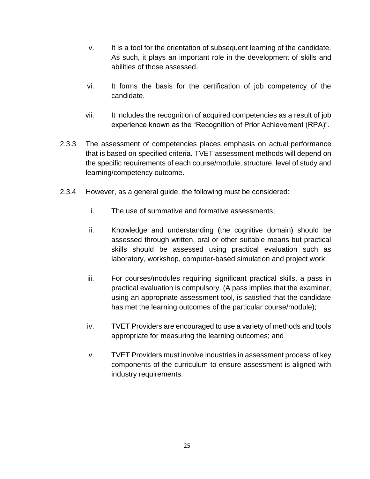- v. It is a tool for the orientation of subsequent learning of the candidate. As such, it plays an important role in the development of skills and abilities of those assessed.
- vi. It forms the basis for the certification of job competency of the candidate.
- vii. It includes the recognition of acquired competencies as a result of job experience known as the "Recognition of Prior Achievement (RPA)".
- 2.3.3 The assessment of competencies places emphasis on actual performance that is based on specified criteria. TVET assessment methods will depend on the specific requirements of each course/module, structure, level of study and learning/competency outcome.
- 2.3.4 However, as a general guide, the following must be considered:
	- i. The use of summative and formative assessments;
	- ii. Knowledge and understanding (the cognitive domain) should be assessed through written, oral or other suitable means but practical skills should be assessed using practical evaluation such as laboratory, workshop, computer-based simulation and project work;
	- iii. For courses/modules requiring significant practical skills, a pass in practical evaluation is compulsory. (A pass implies that the examiner, using an appropriate assessment tool, is satisfied that the candidate has met the learning outcomes of the particular course/module);
	- iv. TVET Providers are encouraged to use a variety of methods and tools appropriate for measuring the learning outcomes; and
	- v. TVET Providers must involve industries in assessment process of key components of the curriculum to ensure assessment is aligned with industry requirements.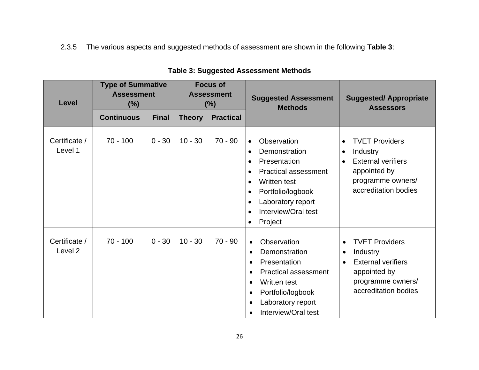2.3.5 The various aspects and suggested methods of assessment are shown in the following **Table 3**:

| <b>Level</b>                        | <b>Type of Summative</b><br><b>Assessment</b><br>(%) |              | <b>Focus of</b><br><b>Assessment</b><br>$(\%)$ |                  | <b>Suggested Assessment</b><br><b>Methods</b>                                                                                                                                                                                                                                                | <b>Suggested/Appropriate</b><br><b>Assessors</b>                                                                                                                   |
|-------------------------------------|------------------------------------------------------|--------------|------------------------------------------------|------------------|----------------------------------------------------------------------------------------------------------------------------------------------------------------------------------------------------------------------------------------------------------------------------------------------|--------------------------------------------------------------------------------------------------------------------------------------------------------------------|
|                                     | <b>Continuous</b>                                    | <b>Final</b> | <b>Theory</b>                                  | <b>Practical</b> |                                                                                                                                                                                                                                                                                              |                                                                                                                                                                    |
| Certificate /<br>Level 1            | $70 - 100$                                           | $0 - 30$     | $10 - 30$                                      | $70 - 90$        | Observation<br>$\bullet$<br>Demonstration<br>$\bullet$<br>Presentation<br>$\bullet$<br><b>Practical assessment</b><br>$\bullet$<br>Written test<br>$\bullet$<br>Portfolio/logbook<br>$\bullet$<br>Laboratory report<br>$\bullet$<br>Interview/Oral test<br>$\bullet$<br>Project<br>$\bullet$ | <b>TVET Providers</b><br>Industry<br><b>External verifiers</b><br>appointed by<br>programme owners/<br>accreditation bodies                                        |
| Certificate /<br>Level <sub>2</sub> | $70 - 100$                                           | $0 - 30$     | $10 - 30$                                      | $70 - 90$        | Observation<br>$\bullet$<br>Demonstration<br>$\bullet$<br>Presentation<br>$\bullet$<br><b>Practical assessment</b><br>$\bullet$<br>Written test<br>$\bullet$<br>Portfolio/logbook<br>$\bullet$<br>Laboratory report<br>$\bullet$<br>Interview/Oral test<br>$\bullet$                         | <b>TVET Providers</b><br>$\bullet$<br>Industry<br>$\bullet$<br><b>External verifiers</b><br>$\bullet$<br>appointed by<br>programme owners/<br>accreditation bodies |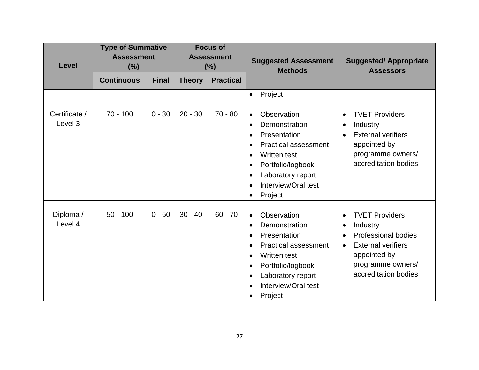| Level                    | <b>Type of Summative</b><br><b>Assessment</b><br>(%) |              |               | <b>Focus of</b><br><b>Assessment</b><br>$(\%)$ | <b>Suggested Assessment</b><br><b>Methods</b>                                                                                                                                                                                                                                                       | <b>Suggested/Appropriate</b><br><b>Assessors</b>                                                                                                                                                              |
|--------------------------|------------------------------------------------------|--------------|---------------|------------------------------------------------|-----------------------------------------------------------------------------------------------------------------------------------------------------------------------------------------------------------------------------------------------------------------------------------------------------|---------------------------------------------------------------------------------------------------------------------------------------------------------------------------------------------------------------|
|                          | <b>Continuous</b>                                    | <b>Final</b> | <b>Theory</b> | <b>Practical</b>                               |                                                                                                                                                                                                                                                                                                     |                                                                                                                                                                                                               |
|                          |                                                      |              |               |                                                | Project<br>$\bullet$                                                                                                                                                                                                                                                                                |                                                                                                                                                                                                               |
| Certificate /<br>Level 3 | $70 - 100$                                           | $0 - 30$     | $20 - 30$     | $70 - 80$                                      | Observation<br>$\bullet$<br>Demonstration<br>$\bullet$<br>Presentation<br>$\bullet$<br><b>Practical assessment</b><br>$\bullet$<br><b>Written test</b><br>$\bullet$<br>Portfolio/logbook<br>$\bullet$<br>Laboratory report<br>$\bullet$<br>Interview/Oral test<br>$\bullet$<br>Project<br>$\bullet$ | <b>TVET Providers</b><br>$\bullet$<br>Industry<br>$\bullet$<br><b>External verifiers</b><br>$\bullet$<br>appointed by<br>programme owners/<br>accreditation bodies                                            |
| Diploma /<br>Level 4     | $50 - 100$                                           | $0 - 50$     | $30 - 40$     | $60 - 70$                                      | Observation<br>$\bullet$<br>Demonstration<br>$\bullet$<br>Presentation<br>$\bullet$<br><b>Practical assessment</b><br>$\bullet$<br>Written test<br>$\bullet$<br>Portfolio/logbook<br>$\bullet$<br>Laboratory report<br>$\bullet$<br>Interview/Oral test<br>$\bullet$<br>Project<br>$\bullet$        | <b>TVET Providers</b><br>$\bullet$<br>Industry<br>$\bullet$<br><b>Professional bodies</b><br>$\bullet$<br><b>External verifiers</b><br>$\bullet$<br>appointed by<br>programme owners/<br>accreditation bodies |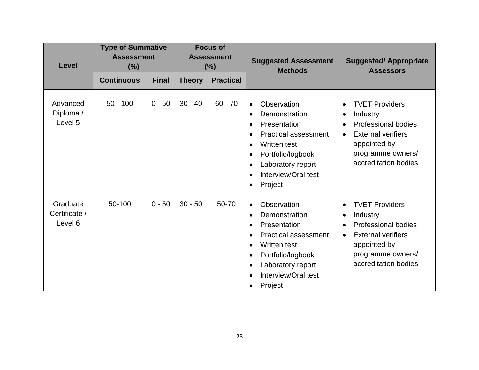| <b>Level</b>                         | <b>Type of Summative</b><br><b>Assessment</b><br>(%) |              | <b>Focus of</b><br><b>Assessment</b><br>(%) |                  | <b>Suggested Assessment</b><br><b>Methods</b>                                                                                                                                                                                                                                                       | <b>Suggested/Appropriate</b><br><b>Assessors</b>                                                                                                                                                              |
|--------------------------------------|------------------------------------------------------|--------------|---------------------------------------------|------------------|-----------------------------------------------------------------------------------------------------------------------------------------------------------------------------------------------------------------------------------------------------------------------------------------------------|---------------------------------------------------------------------------------------------------------------------------------------------------------------------------------------------------------------|
|                                      | <b>Continuous</b>                                    | <b>Final</b> | <b>Theory</b>                               | <b>Practical</b> |                                                                                                                                                                                                                                                                                                     |                                                                                                                                                                                                               |
| Advanced<br>Diploma /<br>Level 5     | $50 - 100$                                           | $0 - 50$     | $30 - 40$                                   | $60 - 70$        | Observation<br>$\bullet$<br>Demonstration<br>$\bullet$<br>Presentation<br>$\bullet$<br><b>Practical assessment</b><br>$\bullet$<br><b>Written test</b><br>$\bullet$<br>Portfolio/logbook<br>$\bullet$<br>Laboratory report<br>$\bullet$<br>Interview/Oral test<br>$\bullet$<br>Project<br>$\bullet$ | <b>TVET Providers</b><br>$\bullet$<br>Industry<br>$\bullet$<br><b>Professional bodies</b><br>$\bullet$<br><b>External verifiers</b><br>$\bullet$<br>appointed by<br>programme owners/<br>accreditation bodies |
| Graduate<br>Certificate /<br>Level 6 | 50-100                                               | $0 - 50$     | $30 - 50$                                   | 50-70            | Observation<br>$\bullet$<br>Demonstration<br>$\bullet$<br>Presentation<br>$\bullet$<br><b>Practical assessment</b><br>$\bullet$<br>Written test<br>$\bullet$<br>Portfolio/logbook<br>$\bullet$<br>Laboratory report<br>$\bullet$<br>Interview/Oral test<br>$\bullet$<br>Project<br>$\bullet$        | <b>TVET Providers</b><br>$\bullet$<br>Industry<br>$\bullet$<br><b>Professional bodies</b><br><b>External verifiers</b><br>$\bullet$<br>appointed by<br>programme owners/<br>accreditation bodies              |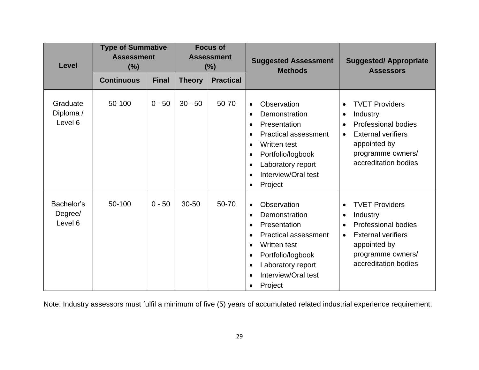| Level                            | <b>Type of Summative</b><br><b>Assessment</b><br>(%) |              | <b>Focus of</b><br><b>Assessment</b><br>(%) |                  | <b>Suggested Assessment</b><br><b>Methods</b>                                                                                                                                                                                                                                                | <b>Suggested/Appropriate</b><br><b>Assessors</b>                                                                                                                                                              |
|----------------------------------|------------------------------------------------------|--------------|---------------------------------------------|------------------|----------------------------------------------------------------------------------------------------------------------------------------------------------------------------------------------------------------------------------------------------------------------------------------------|---------------------------------------------------------------------------------------------------------------------------------------------------------------------------------------------------------------|
|                                  | <b>Continuous</b>                                    | <b>Final</b> | <b>Theory</b>                               | <b>Practical</b> |                                                                                                                                                                                                                                                                                              |                                                                                                                                                                                                               |
| Graduate<br>Diploma /<br>Level 6 | 50-100                                               | $0 - 50$     | $30 - 50$                                   | 50-70            | Observation<br>$\bullet$<br>Demonstration<br>$\bullet$<br>Presentation<br>$\bullet$<br><b>Practical assessment</b><br>$\bullet$<br>Written test<br>$\bullet$<br>Portfolio/logbook<br>$\bullet$<br>Laboratory report<br>$\bullet$<br>Interview/Oral test<br>$\bullet$<br>Project<br>$\bullet$ | <b>TVET Providers</b><br>$\bullet$<br>Industry<br>$\bullet$<br><b>Professional bodies</b><br>$\bullet$<br><b>External verifiers</b><br>$\bullet$<br>appointed by<br>programme owners/<br>accreditation bodies |
| Bachelor's<br>Degree/<br>Level 6 | 50-100                                               | $0 - 50$     | 30-50                                       | 50-70            | Observation<br>$\bullet$<br>Demonstration<br>$\bullet$<br>Presentation<br>$\bullet$<br><b>Practical assessment</b><br>$\bullet$<br>Written test<br>$\bullet$<br>Portfolio/logbook<br>$\bullet$<br>Laboratory report<br>$\bullet$<br>Interview/Oral test<br>$\bullet$<br>Project<br>$\bullet$ | <b>TVET Providers</b><br>$\bullet$<br>Industry<br>$\bullet$<br><b>Professional bodies</b><br><b>External verifiers</b><br>$\bullet$<br>appointed by<br>programme owners/<br>accreditation bodies              |

Note: Industry assessors must fulfil a minimum of five (5) years of accumulated related industrial experience requirement.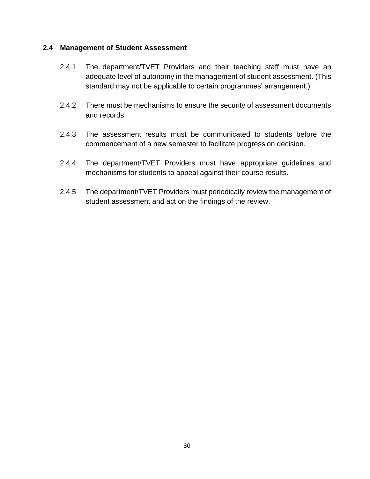#### **2.4 Management of Student Assessment**

- 2.4.1 The department/TVET Providers and their teaching staff must have an adequate level of autonomy in the management of student assessment. (This standard may not be applicable to certain programmes' arrangement.)
- 2.4.2 There must be mechanisms to ensure the security of assessment documents and records.
- 2.4.3 The assessment results must be communicated to students before the commencement of a new semester to facilitate progression decision.
- 2.4.4 The department/TVET Providers must have appropriate guidelines and mechanisms for students to appeal against their course results.
- 2.4.5 The department/TVET Providers must periodically review the management of student assessment and act on the findings of the review.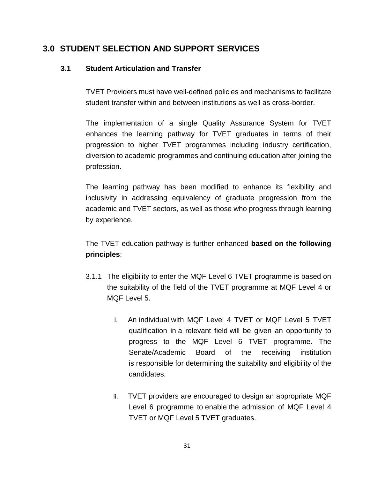# **3.0 STUDENT SELECTION AND SUPPORT SERVICES**

## **3.1 Student Articulation and Transfer**

TVET Providers must have well-defined policies and mechanisms to facilitate student transfer within and between institutions as well as cross-border.

The implementation of a single Quality Assurance System for TVET enhances the learning pathway for TVET graduates in terms of their progression to higher TVET programmes including industry certification, diversion to academic programmes and continuing education after joining the profession.

The learning pathway has been modified to enhance its flexibility and inclusivity in addressing equivalency of graduate progression from the academic and TVET sectors, as well as those who progress through learning by experience.

The TVET education pathway is further enhanced **based on the following principles**:

- 3.1.1 The eligibility to enter the MQF Level 6 TVET programme is based on the suitability of the field of the TVET programme at MQF Level 4 or MQF Level 5.
	- i. An individual with MQF Level 4 TVET or MQF Level 5 TVET qualification in a relevant field will be given an opportunity to progress to the MQF Level 6 TVET programme. The Senate/Academic Board of the receiving institution is responsible for determining the suitability and eligibility of the candidates.
	- ii. TVET providers are encouraged to design an appropriate MQF Level 6 programme to enable the admission of MQF Level 4 TVET or MQF Level 5 TVET graduates.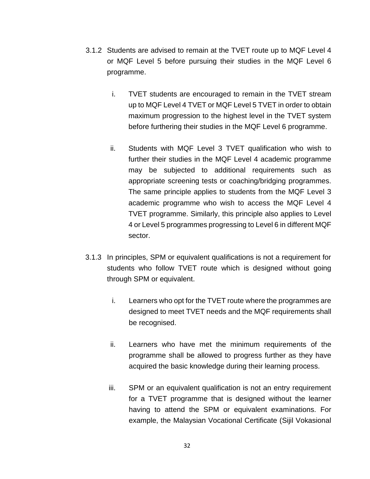- 3.1.2 Students are advised to remain at the TVET route up to MQF Level 4 or MQF Level 5 before pursuing their studies in the MQF Level 6 programme.
	- i. TVET students are encouraged to remain in the TVET stream up to MQF Level 4 TVET or MQF Level 5 TVET in order to obtain maximum progression to the highest level in the TVET system before furthering their studies in the MQF Level 6 programme.
	- ii. Students with MQF Level 3 TVET qualification who wish to further their studies in the MQF Level 4 academic programme may be subjected to additional requirements such as appropriate screening tests or coaching/bridging programmes. The same principle applies to students from the MQF Level 3 academic programme who wish to access the MQF Level 4 TVET programme. Similarly, this principle also applies to Level 4 or Level 5 programmes progressing to Level 6 in different MQF sector.
- 3.1.3 In principles, SPM or equivalent qualifications is not a requirement for students who follow TVET route which is designed without going through SPM or equivalent.
	- i. Learners who opt for the TVET route where the programmes are designed to meet TVET needs and the MQF requirements shall be recognised.
	- ii. Learners who have met the minimum requirements of the programme shall be allowed to progress further as they have acquired the basic knowledge during their learning process.
	- iii. SPM or an equivalent qualification is not an entry requirement for a TVET programme that is designed without the learner having to attend the SPM or equivalent examinations. For example, the Malaysian Vocational Certificate (Sijil Vokasional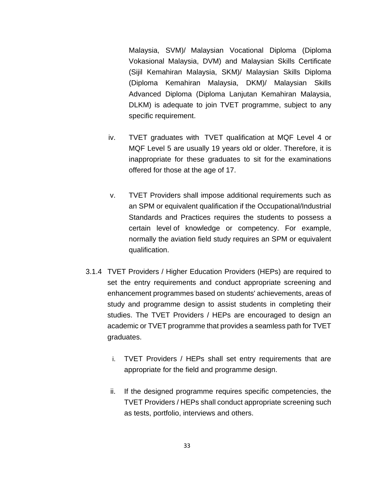Malaysia, SVM)/ Malaysian Vocational Diploma (Diploma Vokasional Malaysia, DVM) and Malaysian Skills Certificate (Sijil Kemahiran Malaysia, SKM)/ Malaysian Skills Diploma (Diploma Kemahiran Malaysia, DKM)/ Malaysian Skills Advanced Diploma (Diploma Lanjutan Kemahiran Malaysia, DLKM) is adequate to join TVET programme, subject to any specific requirement.

- iv. TVET graduates with TVET qualification at MQF Level 4 or MQF Level 5 are usually 19 years old or older. Therefore, it is inappropriate for these graduates to sit for the examinations offered for those at the age of 17.
- v. TVET Providers shall impose additional requirements such as an SPM or equivalent qualification if the Occupational/Industrial Standards and Practices requires the students to possess a certain level of knowledge or competency. For example, normally the aviation field study requires an SPM or equivalent qualification.
- 3.1.4 TVET Providers / Higher Education Providers (HEPs) are required to set the entry requirements and conduct appropriate screening and enhancement programmes based on students' achievements, areas of study and programme design to assist students in completing their studies. The TVET Providers / HEPs are encouraged to design an academic or TVET programme that provides a seamless path for TVET graduates.
	- i. TVET Providers / HEPs shall set entry requirements that are appropriate for the field and programme design.
	- ii. If the designed programme requires specific competencies, the TVET Providers / HEPs shall conduct appropriate screening such as tests, portfolio, interviews and others.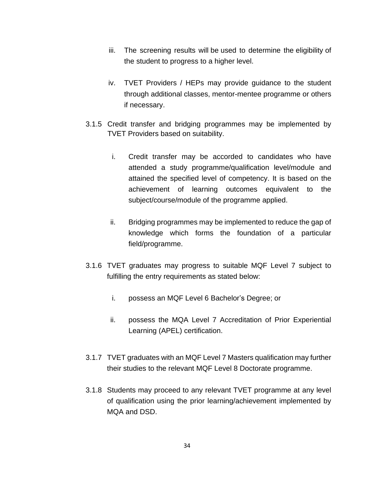- iii. The screening results will be used to determine the eligibility of the student to progress to a higher level.
- iv. TVET Providers / HEPs may provide guidance to the student through additional classes, mentor-mentee programme or others if necessary.
- 3.1.5 Credit transfer and bridging programmes may be implemented by TVET Providers based on suitability.
	- i. Credit transfer may be accorded to candidates who have attended a study programme/qualification level/module and attained the specified level of competency. It is based on the achievement of learning outcomes equivalent to the subject/course/module of the programme applied.
	- ii. Bridging programmes may be implemented to reduce the gap of knowledge which forms the foundation of a particular field/programme.
- 3.1.6 TVET graduates may progress to suitable MQF Level 7 subject to fulfilling the entry requirements as stated below:
	- i. possess an MQF Level 6 Bachelor's Degree; or
	- ii. possess the MQA Level 7 Accreditation of Prior Experiential Learning (APEL) certification.
- 3.1.7 TVET graduates with an MQF Level 7 Masters qualification may further their studies to the relevant MQF Level 8 Doctorate programme.
- 3.1.8 Students may proceed to any relevant TVET programme at any level of qualification using the prior learning/achievement implemented by MQA and DSD.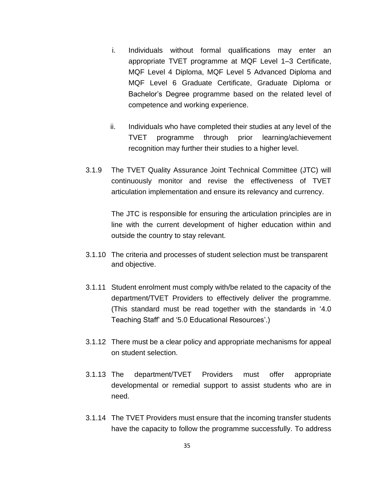- i. Individuals without formal qualifications may enter an appropriate TVET programme at MQF Level 1–3 Certificate, MQF Level 4 Diploma, MQF Level 5 Advanced Diploma and MQF Level 6 Graduate Certificate, Graduate Diploma or Bachelor's Degree programme based on the related level of competence and working experience.
- ii. Individuals who have completed their studies at any level of the TVET programme through prior learning/achievement recognition may further their studies to a higher level.
- 3.1.9 The TVET Quality Assurance Joint Technical Committee (JTC) will continuously monitor and revise the effectiveness of TVET articulation implementation and ensure its relevancy and currency.

The JTC is responsible for ensuring the articulation principles are in line with the current development of higher education within and outside the country to stay relevant.

- 3.1.10 The criteria and processes of student selection must be transparent and objective.
- 3.1.11 Student enrolment must comply with/be related to the capacity of the department/TVET Providers to effectively deliver the programme. (This standard must be read together with the standards in '4.0 Teaching Staff' and '5.0 Educational Resources'.)
- 3.1.12 There must be a clear policy and appropriate mechanisms for appeal on student selection.
- 3.1.13 The department/TVET Providers must offer appropriate developmental or remedial support to assist students who are in need.
- 3.1.14 The TVET Providers must ensure that the incoming transfer students have the capacity to follow the programme successfully. To address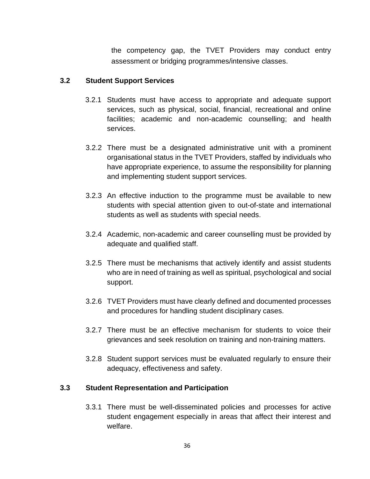the competency gap, the TVET Providers may conduct entry assessment or bridging programmes/intensive classes.

#### **3.2 Student Support Services**

- 3.2.1 Students must have access to appropriate and adequate support services, such as physical, social, financial, recreational and online facilities; academic and non-academic counselling; and health services.
- 3.2.2 There must be a designated administrative unit with a prominent organisational status in the TVET Providers, staffed by individuals who have appropriate experience, to assume the responsibility for planning and implementing student support services.
- 3.2.3 An effective induction to the programme must be available to new students with special attention given to out-of-state and international students as well as students with special needs.
- 3.2.4 Academic, non-academic and career counselling must be provided by adequate and qualified staff.
- 3.2.5 There must be mechanisms that actively identify and assist students who are in need of training as well as spiritual, psychological and social support.
- 3.2.6 TVET Providers must have clearly defined and documented processes and procedures for handling student disciplinary cases.
- 3.2.7 There must be an effective mechanism for students to voice their grievances and seek resolution on training and non-training matters.
- 3.2.8 Student support services must be evaluated regularly to ensure their adequacy, effectiveness and safety.

## **3.3 Student Representation and Participation**

3.3.1 There must be well-disseminated policies and processes for active student engagement especially in areas that affect their interest and welfare.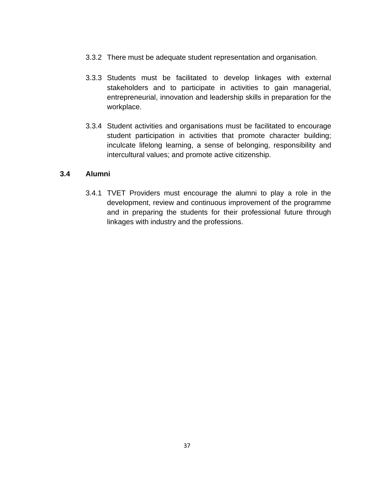- 3.3.2 There must be adequate student representation and organisation.
- 3.3.3 Students must be facilitated to develop linkages with external stakeholders and to participate in activities to gain managerial, entrepreneurial, innovation and leadership skills in preparation for the workplace.
- 3.3.4 Student activities and organisations must be facilitated to encourage student participation in activities that promote character building; inculcate lifelong learning, a sense of belonging, responsibility and intercultural values; and promote active citizenship.

#### **3.4 Alumni**

3.4.1 TVET Providers must encourage the alumni to play a role in the development, review and continuous improvement of the programme and in preparing the students for their professional future through linkages with industry and the professions.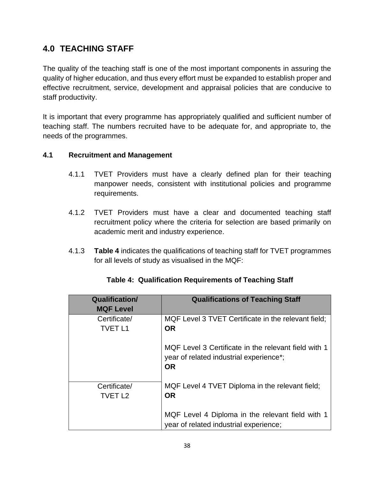# **4.0 TEACHING STAFF**

The quality of the teaching staff is one of the most important components in assuring the quality of higher education, and thus every effort must be expanded to establish proper and effective recruitment, service, development and appraisal policies that are conducive to staff productivity.

It is important that every programme has appropriately qualified and sufficient number of teaching staff. The numbers recruited have to be adequate for, and appropriate to, the needs of the programmes.

## **4.1 Recruitment and Management**

- 4.1.1 TVET Providers must have a clearly defined plan for their teaching manpower needs, consistent with institutional policies and programme requirements.
- 4.1.2 TVET Providers must have a clear and documented teaching staff recruitment policy where the criteria for selection are based primarily on academic merit and industry experience.
- 4.1.3 **Table 4** indicates the qualifications of teaching staff for TVET programmes for all levels of study as visualised in the MQF:

| <b>Qualification/</b><br><b>MQF Level</b> | <b>Qualifications of Teaching Staff</b>                                                                      |
|-------------------------------------------|--------------------------------------------------------------------------------------------------------------|
| Certificate/<br><b>TVET L1</b>            | MQF Level 3 TVET Certificate in the relevant field;<br><b>OR</b>                                             |
|                                           | MQF Level 3 Certificate in the relevant field with 1<br>year of related industrial experience*;<br><b>OR</b> |
| Certificate/<br><b>TVET L2</b>            | MQF Level 4 TVET Diploma in the relevant field;<br><b>OR</b>                                                 |
|                                           | MQF Level 4 Diploma in the relevant field with 1<br>year of related industrial experience;                   |

# **Table 4: Qualification Requirements of Teaching Staff**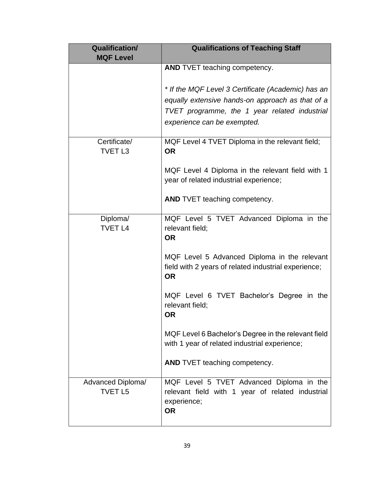| <b>Qualification/</b><br><b>MQF Level</b> | <b>Qualifications of Teaching Staff</b>                                                                                                                                                |
|-------------------------------------------|----------------------------------------------------------------------------------------------------------------------------------------------------------------------------------------|
|                                           | AND TVET teaching competency.                                                                                                                                                          |
|                                           | * If the MQF Level 3 Certificate (Academic) has an<br>equally extensive hands-on approach as that of a<br>TVET programme, the 1 year related industrial<br>experience can be exempted. |
| Certificate/<br><b>TVET L3</b>            | MQF Level 4 TVET Diploma in the relevant field;<br><b>OR</b>                                                                                                                           |
|                                           | MQF Level 4 Diploma in the relevant field with 1<br>year of related industrial experience;                                                                                             |
|                                           | <b>AND TVET teaching competency.</b>                                                                                                                                                   |
| Diploma/<br><b>TVET L4</b>                | MQF Level 5 TVET Advanced Diploma in the<br>relevant field;<br><b>OR</b>                                                                                                               |
|                                           | MQF Level 5 Advanced Diploma in the relevant<br>field with 2 years of related industrial experience;<br><b>OR</b>                                                                      |
|                                           | MQF Level 6 TVET Bachelor's Degree in the<br>relevant field;<br><b>OR</b>                                                                                                              |
|                                           | MQF Level 6 Bachelor's Degree in the relevant field<br>with 1 year of related industrial experience;                                                                                   |
|                                           | AND TVET teaching competency.                                                                                                                                                          |
| Advanced Diploma/<br><b>TVET L5</b>       | MQF Level 5 TVET Advanced Diploma in the<br>relevant field with 1 year of related industrial<br>experience;<br><b>OR</b>                                                               |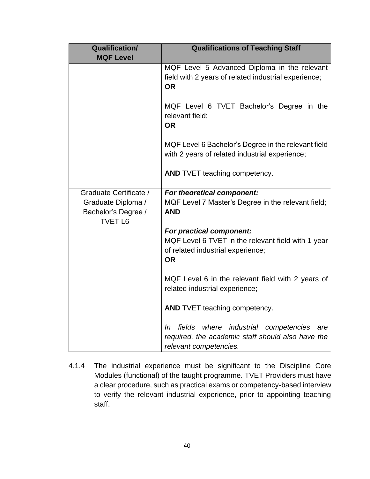| <b>Qualification/</b><br><b>MQF Level</b>                                             | <b>Qualifications of Teaching Staff</b>                                                                                             |
|---------------------------------------------------------------------------------------|-------------------------------------------------------------------------------------------------------------------------------------|
|                                                                                       | MQF Level 5 Advanced Diploma in the relevant<br>field with 2 years of related industrial experience;<br><b>OR</b>                   |
|                                                                                       | MQF Level 6 TVET Bachelor's Degree in the<br>relevant field;<br><b>OR</b>                                                           |
|                                                                                       | MQF Level 6 Bachelor's Degree in the relevant field<br>with 2 years of related industrial experience;                               |
|                                                                                       | <b>AND TVET teaching competency.</b>                                                                                                |
| Graduate Certificate /<br>Graduate Diploma /<br>Bachelor's Degree /<br><b>TVET L6</b> | For theoretical component:<br>MQF Level 7 Master's Degree in the relevant field;<br><b>AND</b>                                      |
|                                                                                       | For practical component:<br>MQF Level 6 TVET in the relevant field with 1 year<br>of related industrial experience;<br><b>OR</b>    |
|                                                                                       | MQF Level 6 in the relevant field with 2 years of<br>related industrial experience;                                                 |
|                                                                                       | AND TVET teaching competency.                                                                                                       |
|                                                                                       | fields where industrial competencies<br>In In<br>are<br>required, the academic staff should also have the<br>relevant competencies. |

4.1.4 The industrial experience must be significant to the Discipline Core Modules (functional) of the taught programme. TVET Providers must have a clear procedure, such as practical exams or competency-based interview to verify the relevant industrial experience, prior to appointing teaching staff.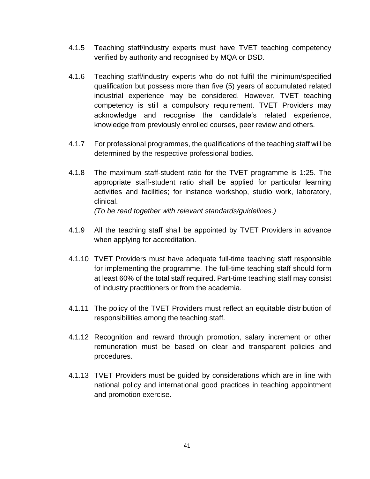- 4.1.5 Teaching staff/industry experts must have TVET teaching competency verified by authority and recognised by MQA or DSD.
- 4.1.6 Teaching staff/industry experts who do not fulfil the minimum/specified qualification but possess more than five (5) years of accumulated related industrial experience may be considered. However, TVET teaching competency is still a compulsory requirement. TVET Providers may acknowledge and recognise the candidate's related experience, knowledge from previously enrolled courses, peer review and others.
- 4.1.7 For professional programmes, the qualifications of the teaching staff will be determined by the respective professional bodies.
- 4.1.8 The maximum staff-student ratio for the TVET programme is 1:25. The appropriate staff-student ratio shall be applied for particular learning activities and facilities; for instance workshop, studio work, laboratory, clinical.

*(To be read together with relevant standards/guidelines.)*

- 4.1.9 All the teaching staff shall be appointed by TVET Providers in advance when applying for accreditation.
- 4.1.10 TVET Providers must have adequate full-time teaching staff responsible for implementing the programme. The full-time teaching staff should form at least 60% of the total staff required. Part-time teaching staff may consist of industry practitioners or from the academia.
- 4.1.11 The policy of the TVET Providers must reflect an equitable distribution of responsibilities among the teaching staff.
- 4.1.12 Recognition and reward through promotion, salary increment or other remuneration must be based on clear and transparent policies and procedures.
- 4.1.13 TVET Providers must be guided by considerations which are in line with national policy and international good practices in teaching appointment and promotion exercise.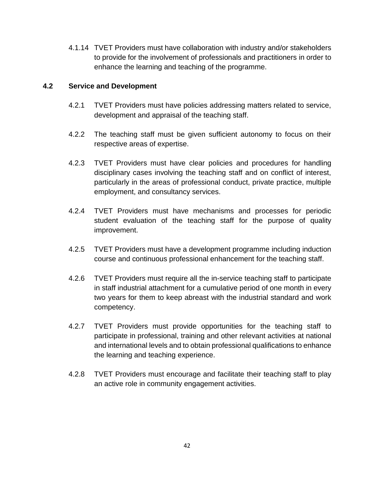4.1.14 TVET Providers must have collaboration with industry and/or stakeholders to provide for the involvement of professionals and practitioners in order to enhance the learning and teaching of the programme.

#### **4.2 Service and Development**

- 4.2.1 TVET Providers must have policies addressing matters related to service, development and appraisal of the teaching staff.
- 4.2.2 The teaching staff must be given sufficient autonomy to focus on their respective areas of expertise.
- 4.2.3 TVET Providers must have clear policies and procedures for handling disciplinary cases involving the teaching staff and on conflict of interest, particularly in the areas of professional conduct, private practice, multiple employment, and consultancy services.
- 4.2.4 TVET Providers must have mechanisms and processes for periodic student evaluation of the teaching staff for the purpose of quality improvement.
- 4.2.5 TVET Providers must have a development programme including induction course and continuous professional enhancement for the teaching staff.
- 4.2.6 TVET Providers must require all the in-service teaching staff to participate in staff industrial attachment for a cumulative period of one month in every two years for them to keep abreast with the industrial standard and work competency.
- 4.2.7 TVET Providers must provide opportunities for the teaching staff to participate in professional, training and other relevant activities at national and international levels and to obtain professional qualifications to enhance the learning and teaching experience.
- 4.2.8 TVET Providers must encourage and facilitate their teaching staff to play an active role in community engagement activities.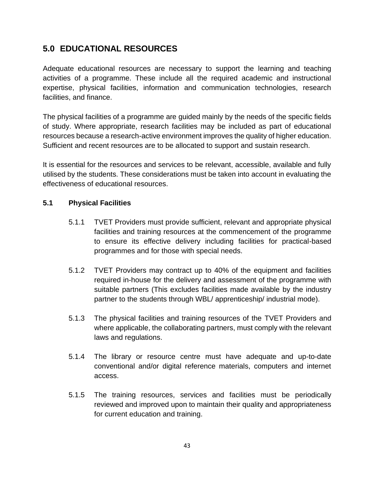# **5.0 EDUCATIONAL RESOURCES**

Adequate educational resources are necessary to support the learning and teaching activities of a programme. These include all the required academic and instructional expertise, physical facilities, information and communication technologies, research facilities, and finance.

The physical facilities of a programme are guided mainly by the needs of the specific fields of study. Where appropriate, research facilities may be included as part of educational resources because a research-active environment improves the quality of higher education. Sufficient and recent resources are to be allocated to support and sustain research.

It is essential for the resources and services to be relevant, accessible, available and fully utilised by the students. These considerations must be taken into account in evaluating the effectiveness of educational resources.

## **5.1 Physical Facilities**

- 5.1.1 TVET Providers must provide sufficient, relevant and appropriate physical facilities and training resources at the commencement of the programme to ensure its effective delivery including facilities for practical-based programmes and for those with special needs.
- 5.1.2 TVET Providers may contract up to 40% of the equipment and facilities required in-house for the delivery and assessment of the programme with suitable partners (This excludes facilities made available by the industry partner to the students through WBL/ apprenticeship/ industrial mode).
- 5.1.3 The physical facilities and training resources of the TVET Providers and where applicable, the collaborating partners, must comply with the relevant laws and regulations.
- 5.1.4 The library or resource centre must have adequate and up-to-date conventional and/or digital reference materials, computers and internet access.
- 5.1.5 The training resources, services and facilities must be periodically reviewed and improved upon to maintain their quality and appropriateness for current education and training.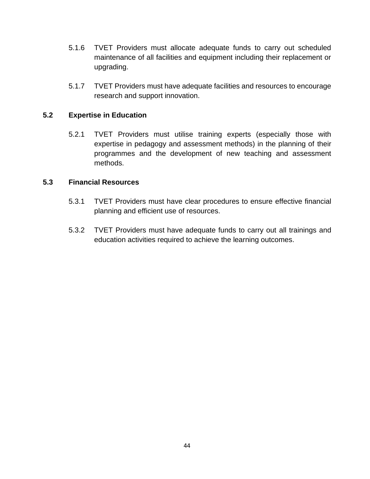- 5.1.6 TVET Providers must allocate adequate funds to carry out scheduled maintenance of all facilities and equipment including their replacement or upgrading.
- 5.1.7 TVET Providers must have adequate facilities and resources to encourage research and support innovation.

#### **5.2 Expertise in Education**

5.2.1 TVET Providers must utilise training experts (especially those with expertise in pedagogy and assessment methods) in the planning of their programmes and the development of new teaching and assessment methods.

#### **5.3 Financial Resources**

- 5.3.1 TVET Providers must have clear procedures to ensure effective financial planning and efficient use of resources.
- 5.3.2 TVET Providers must have adequate funds to carry out all trainings and education activities required to achieve the learning outcomes.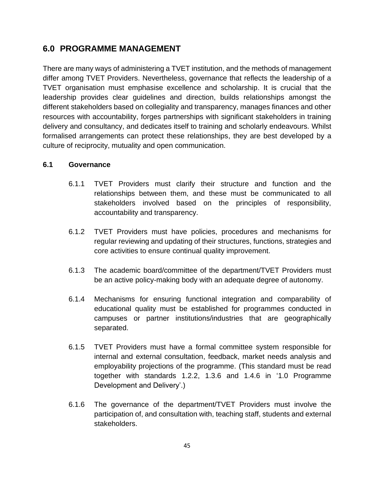# **6.0 PROGRAMME MANAGEMENT**

There are many ways of administering a TVET institution, and the methods of management differ among TVET Providers. Nevertheless, governance that reflects the leadership of a TVET organisation must emphasise excellence and scholarship. It is crucial that the leadership provides clear guidelines and direction, builds relationships amongst the different stakeholders based on collegiality and transparency, manages finances and other resources with accountability, forges partnerships with significant stakeholders in training delivery and consultancy, and dedicates itself to training and scholarly endeavours. Whilst formalised arrangements can protect these relationships, they are best developed by a culture of reciprocity, mutuality and open communication.

#### **6.1 Governance**

- 6.1.1 TVET Providers must clarify their structure and function and the relationships between them, and these must be communicated to all stakeholders involved based on the principles of responsibility, accountability and transparency.
- 6.1.2 TVET Providers must have policies, procedures and mechanisms for regular reviewing and updating of their structures, functions, strategies and core activities to ensure continual quality improvement.
- 6.1.3 The academic board/committee of the department/TVET Providers must be an active policy-making body with an adequate degree of autonomy.
- 6.1.4 Mechanisms for ensuring functional integration and comparability of educational quality must be established for programmes conducted in campuses or partner institutions/industries that are geographically separated.
- 6.1.5 TVET Providers must have a formal committee system responsible for internal and external consultation, feedback, market needs analysis and employability projections of the programme. (This standard must be read together with standards 1.2.2, 1.3.6 and 1.4.6 in '1.0 Programme Development and Delivery'.)
- 6.1.6 The governance of the department/TVET Providers must involve the participation of, and consultation with, teaching staff, students and external stakeholders.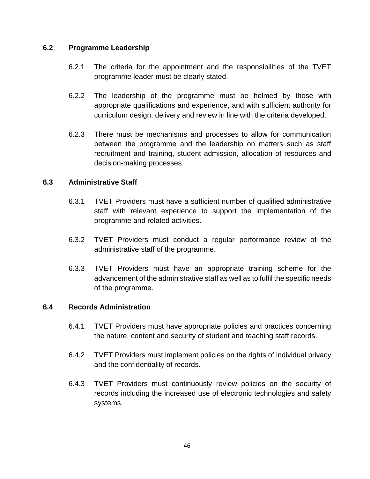#### **6.2 Programme Leadership**

- 6.2.1 The criteria for the appointment and the responsibilities of the TVET programme leader must be clearly stated.
- 6.2.2 The leadership of the programme must be helmed by those with appropriate qualifications and experience, and with sufficient authority for curriculum design, delivery and review in line with the criteria developed.
- 6.2.3 There must be mechanisms and processes to allow for communication between the programme and the leadership on matters such as staff recruitment and training, student admission, allocation of resources and decision-making processes.

#### **6.3 Administrative Staff**

- 6.3.1 TVET Providers must have a sufficient number of qualified administrative staff with relevant experience to support the implementation of the programme and related activities.
- 6.3.2 TVET Providers must conduct a regular performance review of the administrative staff of the programme.
- 6.3.3 TVET Providers must have an appropriate training scheme for the advancement of the administrative staff as well as to fulfil the specific needs of the programme.

#### **6.4 Records Administration**

- 6.4.1 TVET Providers must have appropriate policies and practices concerning the nature, content and security of student and teaching staff records.
- 6.4.2 TVET Providers must implement policies on the rights of individual privacy and the confidentiality of records.
- 6.4.3 TVET Providers must continuously review policies on the security of records including the increased use of electronic technologies and safety systems.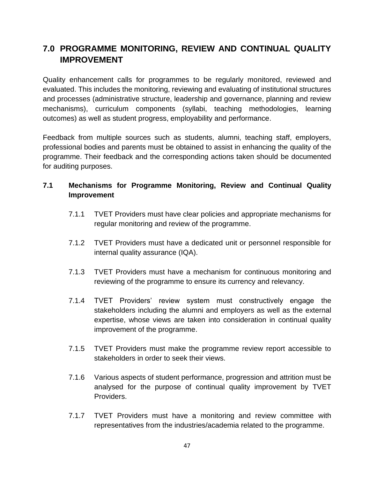# **7.0 PROGRAMME MONITORING, REVIEW AND CONTINUAL QUALITY IMPROVEMENT**

Quality enhancement calls for programmes to be regularly monitored, reviewed and evaluated. This includes the monitoring, reviewing and evaluating of institutional structures and processes (administrative structure, leadership and governance, planning and review mechanisms), curriculum components (syllabi, teaching methodologies, learning outcomes) as well as student progress, employability and performance.

Feedback from multiple sources such as students, alumni, teaching staff, employers, professional bodies and parents must be obtained to assist in enhancing the quality of the programme. Their feedback and the corresponding actions taken should be documented for auditing purposes.

# **7.1 Mechanisms for Programme Monitoring, Review and Continual Quality Improvement**

- 7.1.1 TVET Providers must have clear policies and appropriate mechanisms for regular monitoring and review of the programme.
- 7.1.2 TVET Providers must have a dedicated unit or personnel responsible for internal quality assurance (IQA).
- 7.1.3 TVET Providers must have a mechanism for continuous monitoring and reviewing of the programme to ensure its currency and relevancy.
- 7.1.4 TVET Providers' review system must constructively engage the stakeholders including the alumni and employers as well as the external expertise, whose views are taken into consideration in continual quality improvement of the programme.
- 7.1.5 TVET Providers must make the programme review report accessible to stakeholders in order to seek their views.
- 7.1.6 Various aspects of student performance, progression and attrition must be analysed for the purpose of continual quality improvement by TVET Providers.
- 7.1.7 TVET Providers must have a monitoring and review committee with representatives from the industries/academia related to the programme.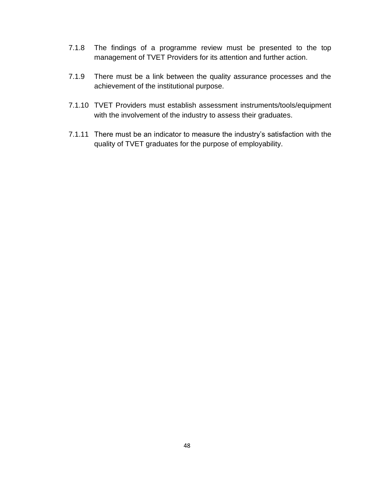- 7.1.8 The findings of a programme review must be presented to the top management of TVET Providers for its attention and further action.
- 7.1.9 There must be a link between the quality assurance processes and the achievement of the institutional purpose.
- 7.1.10 TVET Providers must establish assessment instruments/tools/equipment with the involvement of the industry to assess their graduates.
- 7.1.11 There must be an indicator to measure the industry's satisfaction with the quality of TVET graduates for the purpose of employability.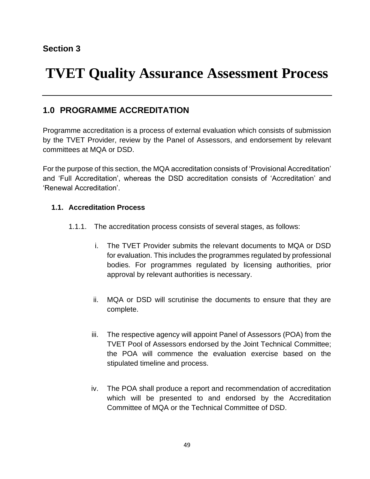# **TVET Quality Assurance Assessment Process**

# **1.0 PROGRAMME ACCREDITATION**

Programme accreditation is a process of external evaluation which consists of submission by the TVET Provider, review by the Panel of Assessors, and endorsement by relevant committees at MQA or DSD.

For the purpose of this section, the MQA accreditation consists of 'Provisional Accreditation' and 'Full Accreditation', whereas the DSD accreditation consists of 'Accreditation' and 'Renewal Accreditation'.

## **1.1. Accreditation Process**

- 1.1.1. The accreditation process consists of several stages, as follows:
	- i. The TVET Provider submits the relevant documents to MQA or DSD for evaluation. This includes the programmes regulated by professional bodies. For programmes regulated by licensing authorities, prior approval by relevant authorities is necessary.
	- ii. MQA or DSD will scrutinise the documents to ensure that they are complete.
	- iii. The respective agency will appoint Panel of Assessors (POA) from the TVET Pool of Assessors endorsed by the Joint Technical Committee; the POA will commence the evaluation exercise based on the stipulated timeline and process.
	- iv. The POA shall produce a report and recommendation of accreditation which will be presented to and endorsed by the Accreditation Committee of MQA or the Technical Committee of DSD.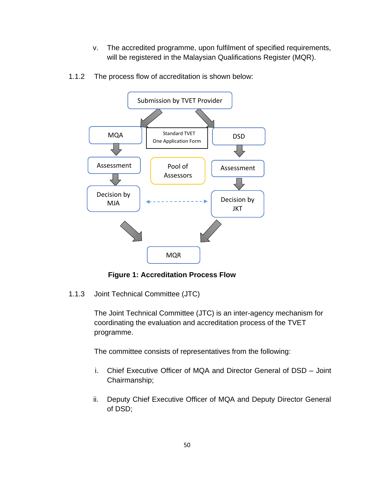v. The accredited programme, upon fulfilment of specified requirements, will be registered in the Malaysian Qualifications Register (MQR).



1.1.2 The process flow of accreditation is shown below:

**Figure 1: Accreditation Process Flow** 

1.1.3 Joint Technical Committee (JTC)

The Joint Technical Committee (JTC) is an inter-agency mechanism for coordinating the evaluation and accreditation process of the TVET programme.

The committee consists of representatives from the following:

- i. Chief Executive Officer of MQA and Director General of DSD Joint Chairmanship;
- ii. Deputy Chief Executive Officer of MQA and Deputy Director General of DSD;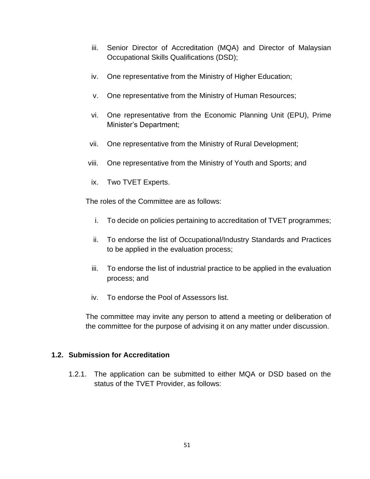- iii. Senior Director of Accreditation (MQA) and Director of Malaysian Occupational Skills Qualifications (DSD);
- iv. One representative from the Ministry of Higher Education;
- v. One representative from the Ministry of Human Resources;
- vi. One representative from the Economic Planning Unit (EPU), Prime Minister's Department;
- vii. One representative from the Ministry of Rural Development;
- viii. One representative from the Ministry of Youth and Sports; and
- ix. Two TVET Experts.

The roles of the Committee are as follows:

- i. To decide on policies pertaining to accreditation of TVET programmes;
- ii. To endorse the list of Occupational/Industry Standards and Practices to be applied in the evaluation process;
- iii. To endorse the list of industrial practice to be applied in the evaluation process; and
- iv. To endorse the Pool of Assessors list.

The committee may invite any person to attend a meeting or deliberation of the committee for the purpose of advising it on any matter under discussion.

#### **1.2. Submission for Accreditation**

1.2.1. The application can be submitted to either MQA or DSD based on the status of the TVET Provider, as follows: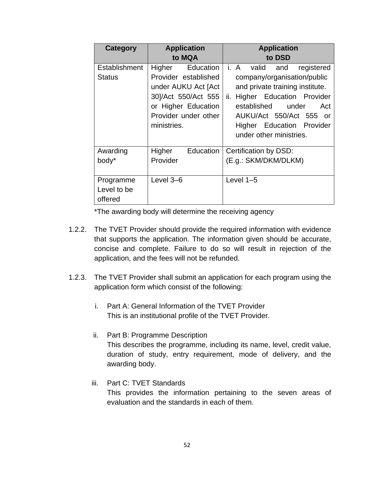| Category      | <b>Application</b>   | <b>Application</b>                 |  |  |
|---------------|----------------------|------------------------------------|--|--|
|               | to MQA               | to DSD                             |  |  |
| Establishment | Higher<br>Education  | i. A<br>valid<br>registered<br>and |  |  |
| <b>Status</b> | Provider established | company/organisation/public        |  |  |
|               | under AUKU Act [Act] | and private training institute.    |  |  |
|               | 30]/Act 550/Act 555  | ii. Higher Education Provider      |  |  |
|               | or Higher Education  | established<br>under<br>Act        |  |  |
|               | Provider under other | AUKU/Act 550/Act 555 or            |  |  |
|               | ministries.          | Higher Education Provider          |  |  |
|               |                      | under other ministries.            |  |  |
|               |                      |                                    |  |  |
| Awarding      | Higher<br>Education  | Certification by DSD:              |  |  |
| body*         | Provider             | (E.g.: SKM/DKM/DLKM)               |  |  |
|               |                      |                                    |  |  |
| Programme     | Level 3-6            | Level $1-5$                        |  |  |
| Level to be   |                      |                                    |  |  |
| offered       |                      |                                    |  |  |

\*The awarding body will determine the receiving agency

- 1.2.2. The TVET Provider should provide the required information with evidence that supports the application. The information given should be accurate, concise and complete. Failure to do so will result in rejection of the application, and the fees will not be refunded.
- 1.2.3. The TVET Provider shall submit an application for each program using the application form which consist of the following:
	- i. Part A: General Information of the TVET Provider This is an institutional profile of the TVET Provider.
	- ii. Part B: Programme Description This describes the programme, including its name, level, credit value, duration of study, entry requirement, mode of delivery, and the awarding body.
	- iii. Part C: TVET Standards

This provides the information pertaining to the seven areas of evaluation and the standards in each of them.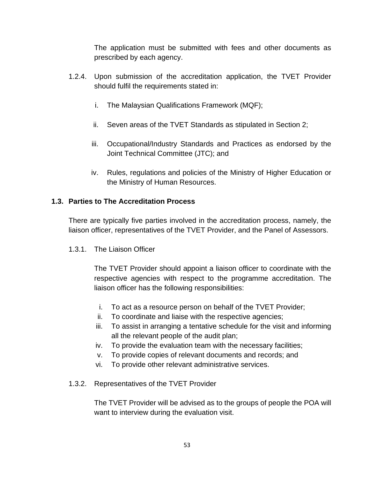The application must be submitted with fees and other documents as prescribed by each agency.

- 1.2.4. Upon submission of the accreditation application, the TVET Provider should fulfil the requirements stated in:
	- i. The Malaysian Qualifications Framework (MQF);
	- ii. Seven areas of the TVET Standards as stipulated in Section 2;
	- iii. Occupational/Industry Standards and Practices as endorsed by the Joint Technical Committee (JTC); and
	- iv. Rules, regulations and policies of the Ministry of Higher Education or the Ministry of Human Resources.

## **1.3. Parties to The Accreditation Process**

There are typically five parties involved in the accreditation process, namely, the liaison officer, representatives of the TVET Provider, and the Panel of Assessors.

1.3.1. The Liaison Officer

The TVET Provider should appoint a liaison officer to coordinate with the respective agencies with respect to the programme accreditation. The liaison officer has the following responsibilities:

- i. To act as a resource person on behalf of the TVET Provider;
- ii. To coordinate and liaise with the respective agencies;
- iii. To assist in arranging a tentative schedule for the visit and informing all the relevant people of the audit plan;
- iv. To provide the evaluation team with the necessary facilities;
- v. To provide copies of relevant documents and records; and
- vi. To provide other relevant administrative services.
- 1.3.2. Representatives of the TVET Provider

The TVET Provider will be advised as to the groups of people the POA will want to interview during the evaluation visit.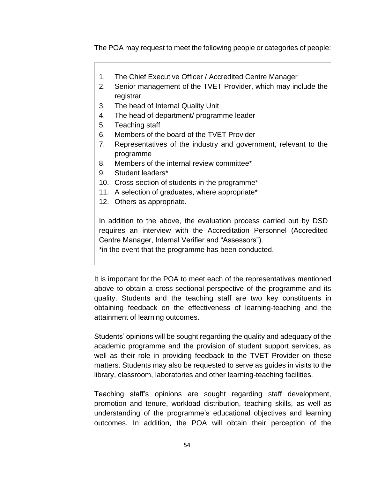The POA may request to meet the following people or categories of people:

- 1. The Chief Executive Officer / Accredited Centre Manager
- 2. Senior management of the TVET Provider, which may include the registrar
- 3. The head of Internal Quality Unit
- 4. The head of department/ programme leader
- 5. Teaching staff
- 6. Members of the board of the TVET Provider
- 7. Representatives of the industry and government, relevant to the programme
- 8. Members of the internal review committee\*
- 9. Student leaders\*
- 10. Cross-section of students in the programme\*
- 11. A selection of graduates, where appropriate\*
- 12. Others as appropriate.

In addition to the above, the evaluation process carried out by DSD requires an interview with the Accreditation Personnel (Accredited Centre Manager, Internal Verifier and "Assessors").

\*in the event that the programme has been conducted.

It is important for the POA to meet each of the representatives mentioned above to obtain a cross-sectional perspective of the programme and its quality. Students and the teaching staff are two key constituents in obtaining feedback on the effectiveness of learning-teaching and the attainment of learning outcomes.

Students' opinions will be sought regarding the quality and adequacy of the academic programme and the provision of student support services, as well as their role in providing feedback to the TVET Provider on these matters. Students may also be requested to serve as guides in visits to the library, classroom, laboratories and other learning-teaching facilities.

Teaching staff's opinions are sought regarding staff development, promotion and tenure, workload distribution, teaching skills, as well as understanding of the programme's educational objectives and learning outcomes. In addition, the POA will obtain their perception of the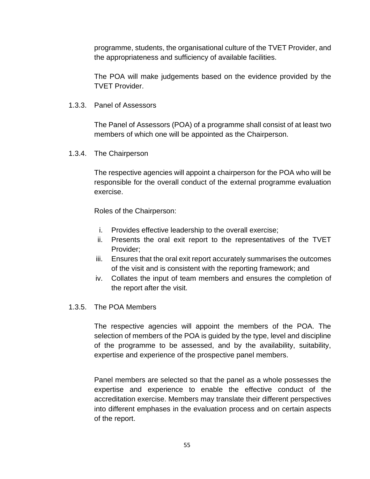programme, students, the organisational culture of the TVET Provider, and the appropriateness and sufficiency of available facilities.

The POA will make judgements based on the evidence provided by the TVET Provider.

1.3.3. Panel of Assessors

The Panel of Assessors (POA) of a programme shall consist of at least two members of which one will be appointed as the Chairperson.

1.3.4. The Chairperson

The respective agencies will appoint a chairperson for the POA who will be responsible for the overall conduct of the external programme evaluation exercise.

Roles of the Chairperson:

- i. Provides effective leadership to the overall exercise;
- ii. Presents the oral exit report to the representatives of the TVET Provider;
- iii. Ensures that the oral exit report accurately summarises the outcomes of the visit and is consistent with the reporting framework; and
- iv. Collates the input of team members and ensures the completion of the report after the visit.
- 1.3.5. The POA Members

The respective agencies will appoint the members of the POA. The selection of members of the POA is guided by the type, level and discipline of the programme to be assessed, and by the availability, suitability, expertise and experience of the prospective panel members.

Panel members are selected so that the panel as a whole possesses the expertise and experience to enable the effective conduct of the accreditation exercise. Members may translate their different perspectives into different emphases in the evaluation process and on certain aspects of the report.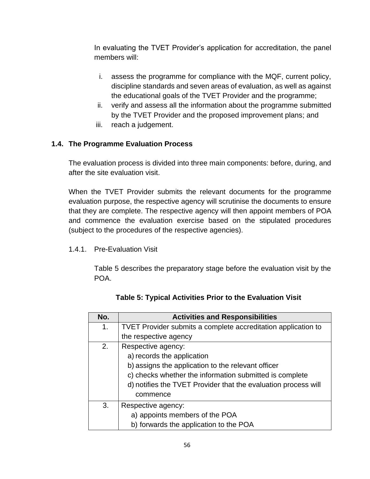In evaluating the TVET Provider's application for accreditation, the panel members will:

- i. assess the programme for compliance with the MQF, current policy, discipline standards and seven areas of evaluation, as well as against the educational goals of the TVET Provider and the programme;
- ii. verify and assess all the information about the programme submitted by the TVET Provider and the proposed improvement plans; and
- iii. reach a judgement.

# **1.4. The Programme Evaluation Process**

The evaluation process is divided into three main components: before, during, and after the site evaluation visit.

When the TVET Provider submits the relevant documents for the programme evaluation purpose, the respective agency will scrutinise the documents to ensure that they are complete. The respective agency will then appoint members of POA and commence the evaluation exercise based on the stipulated procedures (subject to the procedures of the respective agencies).

1.4.1. Pre-Evaluation Visit

Table 5 describes the preparatory stage before the evaluation visit by the POA.

| No. | <b>Activities and Responsibilities</b>                         |
|-----|----------------------------------------------------------------|
| 1.  | TVET Provider submits a complete accreditation application to  |
|     | the respective agency                                          |
| 2.  | Respective agency:                                             |
|     | a) records the application                                     |
|     | b) assigns the application to the relevant officer             |
|     | c) checks whether the information submitted is complete        |
|     | d) notifies the TVET Provider that the evaluation process will |
|     | commence                                                       |
| 3.  | Respective agency:                                             |
|     | a) appoints members of the POA                                 |
|     | b) forwards the application to the POA                         |

**Table 5: Typical Activities Prior to the Evaluation Visit**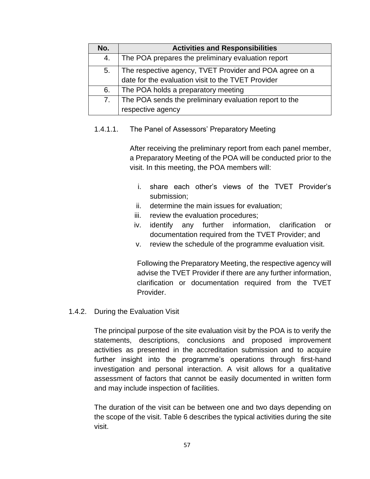| No. | <b>Activities and Responsibilities</b>                  |
|-----|---------------------------------------------------------|
| 4.  | The POA prepares the preliminary evaluation report      |
| 5.  | The respective agency, TVET Provider and POA agree on a |
|     | date for the evaluation visit to the TVET Provider      |
| 6.  | The POA holds a preparatory meeting                     |
| 7.  | The POA sends the preliminary evaluation report to the  |
|     | respective agency                                       |

#### 1.4.1.1. The Panel of Assessors' Preparatory Meeting

After receiving the preliminary report from each panel member, a Preparatory Meeting of the POA will be conducted prior to the visit. In this meeting, the POA members will:

- i. share each other's views of the TVET Provider's submission;
- ii. determine the main issues for evaluation;
- iii. review the evaluation procedures;
- iv. identify any further information, clarification or documentation required from the TVET Provider; and
- v. review the schedule of the programme evaluation visit.

Following the Preparatory Meeting, the respective agency will advise the TVET Provider if there are any further information, clarification or documentation required from the TVET Provider.

#### 1.4.2. During the Evaluation Visit

The principal purpose of the site evaluation visit by the POA is to verify the statements, descriptions, conclusions and proposed improvement activities as presented in the accreditation submission and to acquire further insight into the programme's operations through first-hand investigation and personal interaction. A visit allows for a qualitative assessment of factors that cannot be easily documented in written form and may include inspection of facilities.

The duration of the visit can be between one and two days depending on the scope of the visit. Table 6 describes the typical activities during the site visit.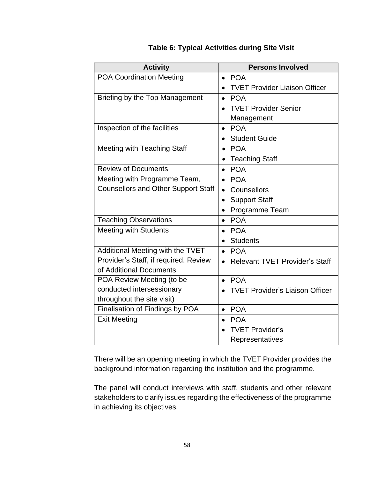| <b>Activity</b>                            | <b>Persons Involved</b>                |
|--------------------------------------------|----------------------------------------|
| <b>POA Coordination Meeting</b>            | <b>POA</b><br>$\bullet$                |
|                                            | <b>TVET Provider Liaison Officer</b>   |
| Briefing by the Top Management             | <b>POA</b><br>$\bullet$                |
|                                            | <b>TVET Provider Senior</b>            |
|                                            | Management                             |
| Inspection of the facilities               | <b>POA</b><br>$\bullet$                |
|                                            | <b>Student Guide</b>                   |
| Meeting with Teaching Staff                | <b>POA</b><br>$\bullet$                |
|                                            | <b>Teaching Staff</b>                  |
| <b>Review of Documents</b>                 | <b>POA</b><br>$\bullet$                |
| Meeting with Programme Team,               | <b>POA</b><br>$\bullet$                |
| <b>Counsellors and Other Support Staff</b> | Counsellors                            |
|                                            | <b>Support Staff</b><br>$\bullet$      |
|                                            | Programme Team<br>$\bullet$            |
| <b>Teaching Observations</b>               | <b>POA</b><br>$\bullet$                |
| <b>Meeting with Students</b>               | <b>POA</b><br>$\bullet$                |
|                                            | <b>Students</b>                        |
| Additional Meeting with the TVET           | <b>POA</b><br>$\bullet$                |
| Provider's Staff, if required. Review      | <b>Relevant TVET Provider's Staff</b>  |
| of Additional Documents                    |                                        |
| POA Review Meeting (to be                  | <b>POA</b><br>$\bullet$                |
| conducted intersessionary                  | <b>TVET Provider's Liaison Officer</b> |
| throughout the site visit)                 |                                        |
| Finalisation of Findings by POA            | <b>POA</b><br>$\bullet$                |
| <b>Exit Meeting</b>                        | <b>POA</b>                             |
|                                            | <b>TVET Provider's</b>                 |
|                                            | Representatives                        |

## **Table 6: Typical Activities during Site Visit**

There will be an opening meeting in which the TVET Provider provides the background information regarding the institution and the programme.

The panel will conduct interviews with staff, students and other relevant stakeholders to clarify issues regarding the effectiveness of the programme in achieving its objectives.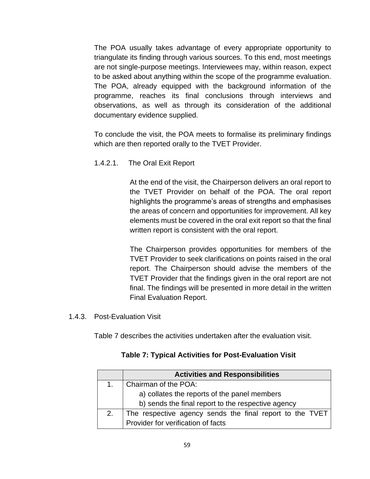The POA usually takes advantage of every appropriate opportunity to triangulate its finding through various sources. To this end, most meetings are not single-purpose meetings. Interviewees may, within reason, expect to be asked about anything within the scope of the programme evaluation. The POA, already equipped with the background information of the programme, reaches its final conclusions through interviews and observations, as well as through its consideration of the additional documentary evidence supplied.

To conclude the visit, the POA meets to formalise its preliminary findings which are then reported orally to the TVET Provider.

1.4.2.1. The Oral Exit Report

At the end of the visit, the Chairperson delivers an oral report to the TVET Provider on behalf of the POA. The oral report highlights the programme's areas of strengths and emphasises the areas of concern and opportunities for improvement. All key elements must be covered in the oral exit report so that the final written report is consistent with the oral report.

The Chairperson provides opportunities for members of the TVET Provider to seek clarifications on points raised in the oral report. The Chairperson should advise the members of the TVET Provider that the findings given in the oral report are not final. The findings will be presented in more detail in the written Final Evaluation Report.

1.4.3. Post-Evaluation Visit

Table 7 describes the activities undertaken after the evaluation visit.

|    | <b>Activities and Responsibilities</b>                   |
|----|----------------------------------------------------------|
| 1. | Chairman of the POA:                                     |
|    | a) collates the reports of the panel members             |
|    | b) sends the final report to the respective agency       |
| 2. | The respective agency sends the final report to the TVET |
|    | Provider for verification of facts                       |

#### **Table 7: Typical Activities for Post-Evaluation Visit**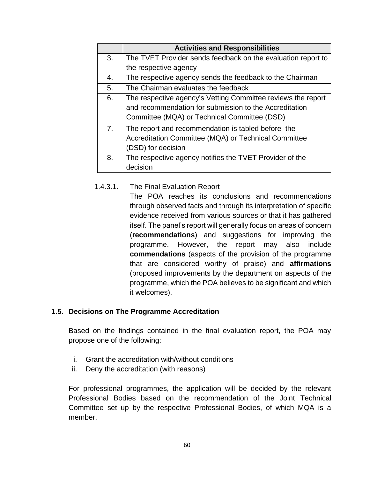|                                                                                                                              | <b>Activities and Responsibilities</b>                                                                                           |  |  |
|------------------------------------------------------------------------------------------------------------------------------|----------------------------------------------------------------------------------------------------------------------------------|--|--|
| 3.                                                                                                                           | The TVET Provider sends feedback on the evaluation report to                                                                     |  |  |
|                                                                                                                              | the respective agency                                                                                                            |  |  |
| 4.                                                                                                                           | The respective agency sends the feedback to the Chairman                                                                         |  |  |
| 5.                                                                                                                           | The Chairman evaluates the feedback                                                                                              |  |  |
| The respective agency's Vetting Committee reviews the report<br>6.<br>and recommendation for submission to the Accreditation |                                                                                                                                  |  |  |
|                                                                                                                              | Committee (MQA) or Technical Committee (DSD)                                                                                     |  |  |
| 7.                                                                                                                           | The report and recommendation is tabled before the<br>Accreditation Committee (MQA) or Technical Committee<br>(DSD) for decision |  |  |
| 8.                                                                                                                           | The respective agency notifies the TVET Provider of the                                                                          |  |  |
|                                                                                                                              | decision                                                                                                                         |  |  |

1.4.3.1. The Final Evaluation Report The POA reaches its conclusions and recommendations through observed facts and through its interpretation of specific evidence received from various sources or that it has gathered itself. The panel's report will generally focus on areas of concern (**recommendations**) and suggestions for improving the programme. However, the report may also include **commendations** (aspects of the provision of the programme that are considered worthy of praise) and **affirmations** (proposed improvements by the department on aspects of the programme, which the POA believes to be significant and which it welcomes).

#### **1.5. Decisions on The Programme Accreditation**

Based on the findings contained in the final evaluation report, the POA may propose one of the following:

- i. Grant the accreditation with/without conditions
- ii. Deny the accreditation (with reasons)

For professional programmes, the application will be decided by the relevant Professional Bodies based on the recommendation of the Joint Technical Committee set up by the respective Professional Bodies, of which MQA is a member.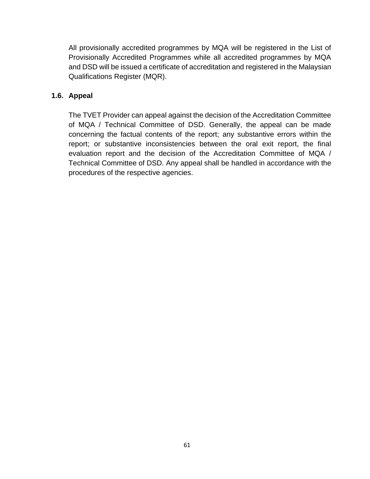All provisionally accredited programmes by MQA will be registered in the List of Provisionally Accredited Programmes while all accredited programmes by MQA and DSD will be issued a certificate of accreditation and registered in the Malaysian Qualifications Register (MQR).

## **1.6. Appeal**

The TVET Provider can appeal against the decision of the Accreditation Committee of MQA / Technical Committee of DSD. Generally, the appeal can be made concerning the factual contents of the report; any substantive errors within the report; or substantive inconsistencies between the oral exit report, the final evaluation report and the decision of the Accreditation Committee of MQA / Technical Committee of DSD. Any appeal shall be handled in accordance with the procedures of the respective agencies.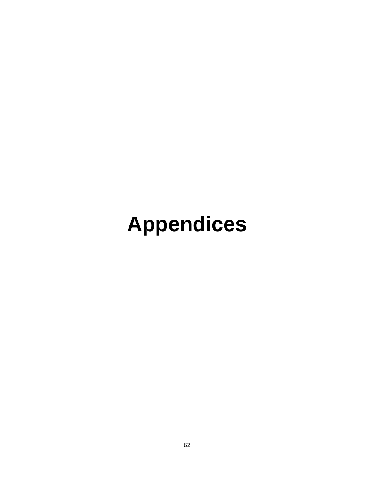# **Appendices**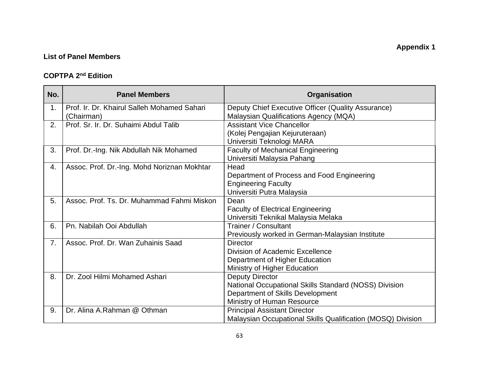# **List of Panel Members**

#### **COPTPA 2 nd Edition**

| No.            | <b>Panel Members</b>                        | Organisation                                                   |  |  |
|----------------|---------------------------------------------|----------------------------------------------------------------|--|--|
| 1.             | Prof. Ir. Dr. Khairul Salleh Mohamed Sahari | Deputy Chief Executive Officer (Quality Assurance)             |  |  |
|                | (Chairman)                                  | Malaysian Qualifications Agency (MQA)                          |  |  |
| 2.             | Prof. Sr. Ir. Dr. Suhaimi Abdul Talib       | <b>Assistant Vice Chancellor</b>                               |  |  |
|                |                                             | (Kolej Pengajian Kejuruteraan)                                 |  |  |
|                |                                             | Universiti Teknologi MARA                                      |  |  |
| 3.             | Prof. Dr.-Ing. Nik Abdullah Nik Mohamed     | <b>Faculty of Mechanical Engineering</b>                       |  |  |
|                |                                             | Universiti Malaysia Pahang                                     |  |  |
| 4.             | Assoc. Prof. Dr.-Ing. Mohd Noriznan Mokhtar | Head                                                           |  |  |
|                |                                             | Department of Process and Food Engineering                     |  |  |
|                |                                             | <b>Engineering Faculty</b>                                     |  |  |
|                |                                             | Universiti Putra Malaysia                                      |  |  |
| 5.             | Assoc, Prof. Ts. Dr. Muhammad Fahmi Miskon  | Dean                                                           |  |  |
|                |                                             | <b>Faculty of Electrical Engineering</b>                       |  |  |
|                |                                             | Universiti Teknikal Malaysia Melaka                            |  |  |
| 6.             | Pn. Nabilah Ooi Abdullah                    | Trainer / Consultant                                           |  |  |
|                | Assoc. Prof. Dr. Wan Zuhainis Saad          | Previously worked in German-Malaysian Institute                |  |  |
| 7 <sub>1</sub> |                                             | <b>Director</b><br>Division of Academic Excellence             |  |  |
|                |                                             |                                                                |  |  |
|                |                                             | Department of Higher Education<br>Ministry of Higher Education |  |  |
| 8.             | Dr. Zool Hilmi Mohamed Ashari               | <b>Deputy Director</b>                                         |  |  |
|                |                                             | National Occupational Skills Standard (NOSS) Division          |  |  |
|                |                                             | Department of Skills Development                               |  |  |
|                |                                             | Ministry of Human Resource                                     |  |  |
| 9.             | Dr. Alina A.Rahman @ Othman                 | <b>Principal Assistant Director</b>                            |  |  |
|                |                                             | Malaysian Occupational Skills Qualification (MOSQ) Division    |  |  |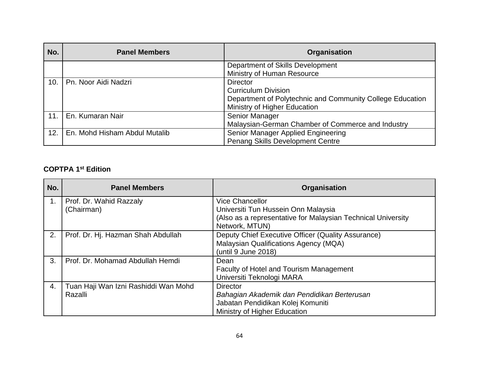| No. | <b>Panel Members</b>          | Organisation                                              |  |  |
|-----|-------------------------------|-----------------------------------------------------------|--|--|
|     |                               | Department of Skills Development                          |  |  |
|     |                               | Ministry of Human Resource                                |  |  |
| 10. | Pn. Noor Aidi Nadzri          | Director                                                  |  |  |
|     |                               | <b>Curriculum Division</b>                                |  |  |
|     |                               | Department of Polytechnic and Community College Education |  |  |
|     |                               | Ministry of Higher Education                              |  |  |
| 11. | En. Kumaran Nair              | Senior Manager                                            |  |  |
|     |                               | Malaysian-German Chamber of Commerce and Industry         |  |  |
| 12. | En. Mohd Hisham Abdul Mutalib | Senior Manager Applied Engineering                        |  |  |
|     |                               | Penang Skills Development Centre                          |  |  |

#### **COPTPA 1 st Edition**

| No. | <b>Panel Members</b>                 | Organisation                                                 |
|-----|--------------------------------------|--------------------------------------------------------------|
| 1.  | Prof. Dr. Wahid Razzaly              | <b>Vice Chancellor</b>                                       |
|     | (Chairman)                           | Universiti Tun Hussein Onn Malaysia                          |
|     |                                      | (Also as a representative for Malaysian Technical University |
|     |                                      | Network, MTUN)                                               |
| 2.  | Prof. Dr. Hj. Hazman Shah Abdullah   | Deputy Chief Executive Officer (Quality Assurance)           |
|     |                                      | Malaysian Qualifications Agency (MQA)                        |
|     |                                      | (until 9 June 2018)                                          |
| 3.  | Prof. Dr. Mohamad Abdullah Hemdi     | Dean                                                         |
|     |                                      | <b>Faculty of Hotel and Tourism Management</b>               |
|     |                                      | Universiti Teknologi MARA                                    |
| 4.  | Tuan Haji Wan Izni Rashiddi Wan Mohd | <b>Director</b>                                              |
|     | Razalli                              | Bahagian Akademik dan Pendidikan Berterusan                  |
|     |                                      | Jabatan Pendidikan Kolej Komuniti                            |
|     |                                      | Ministry of Higher Education                                 |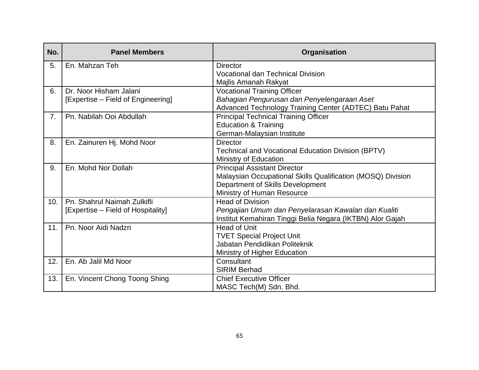| No. | <b>Panel Members</b>               | Organisation                                                |  |  |
|-----|------------------------------------|-------------------------------------------------------------|--|--|
| 5.  | En. Mahzan Teh                     | <b>Director</b>                                             |  |  |
|     |                                    | <b>Vocational dan Technical Division</b>                    |  |  |
|     |                                    | Majlis Amanah Rakyat                                        |  |  |
| 6.  | Dr. Noor Hisham Jalani             | <b>Vocational Training Officer</b>                          |  |  |
|     | [Expertise – Field of Engineering] | Bahagian Pengurusan dan Penyelengaraan Aset                 |  |  |
|     |                                    | Advanced Technology Training Center (ADTEC) Batu Pahat      |  |  |
| 7.  | Pn. Nabilah Ooi Abdullah           | <b>Principal Technical Training Officer</b>                 |  |  |
|     |                                    | <b>Education &amp; Training</b>                             |  |  |
|     |                                    | German-Malaysian Institute                                  |  |  |
| 8.  | En. Zainuren Hj. Mohd Noor         | <b>Director</b>                                             |  |  |
|     |                                    | Technical and Vocational Education Division (BPTV)          |  |  |
|     |                                    | Ministry of Education                                       |  |  |
| 9.  | En. Mohd Nor Dollah                | <b>Principal Assistant Director</b>                         |  |  |
|     |                                    | Malaysian Occupational Skills Qualification (MOSQ) Division |  |  |
|     |                                    | Department of Skills Development                            |  |  |
|     |                                    | Ministry of Human Resource                                  |  |  |
| 10. | Pn. Shahrul Naimah Zulkifli        | <b>Head of Division</b>                                     |  |  |
|     | [Expertise – Field of Hospitality] | Pengajian Umum dan Penyelarasan Kawalan dan Kualiti         |  |  |
|     |                                    | Institut Kemahiran Tinggi Belia Negara (IKTBN) Alor Gajah   |  |  |
| 11. | Pn. Noor Aidi Nadzri               | <b>Head of Unit</b>                                         |  |  |
|     |                                    | <b>TVET Special Project Unit</b>                            |  |  |
|     |                                    | Jabatan Pendidikan Politeknik                               |  |  |
|     |                                    | Ministry of Higher Education                                |  |  |
| 12. | En. Ab Jalil Md Noor               | Consultant                                                  |  |  |
|     |                                    | <b>SIRIM Berhad</b>                                         |  |  |
| 13. | En. Vincent Chong Toong Shing      | <b>Chief Executive Officer</b>                              |  |  |
|     |                                    | MASC Tech(M) Sdn. Bhd.                                      |  |  |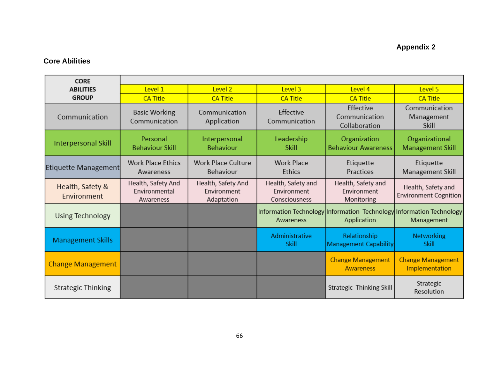# **Appendix 2**

# **Core Abilities**

| <b>CORE</b>                     |                                                  |                                                 |                                                    |                                                 |                                                                                    |
|---------------------------------|--------------------------------------------------|-------------------------------------------------|----------------------------------------------------|-------------------------------------------------|------------------------------------------------------------------------------------|
| <b>ABILITIES</b>                | Level 1                                          | Level 2                                         | Level 3                                            | Level 4                                         | Level 5                                                                            |
| <b>GROUP</b>                    | <b>CA Title</b>                                  | <b>CA Title</b>                                 | <b>CA Title</b>                                    | <b>CA Title</b>                                 | <b>CA Title</b>                                                                    |
| Communication                   | <b>Basic Working</b><br>Communication            | Communication<br>Application                    | Effective<br>Communication                         | Effective<br>Communication<br>Collaboration     | Communication<br>Management<br>Skill                                               |
| <b>Interpersonal Skill</b>      | Personal<br><b>Behaviour Skill</b>               | Interpersonal<br>Behaviour                      | Leadership<br>Skill                                | Organization<br><b>Behaviour Awareness</b>      | Organizational<br><b>Management Skill</b>                                          |
| Etiquette Management            | <b>Work Place Ethics</b><br>Awareness            | <b>Work Place Culture</b><br>Behaviour          | <b>Work Place</b><br>Ethics                        | Etiquette<br>Practices                          | Etiquette<br>Management Skill                                                      |
| Health, Safety &<br>Environment | Health, Safety And<br>Environmental<br>Awareness | Health, Safety And<br>Environment<br>Adaptation | Health, Safety and<br>Environment<br>Consciousness | Health, Safety and<br>Environment<br>Monitoring | Health, Safety and<br><b>Environment Cognition</b>                                 |
| Using Technology                |                                                  |                                                 | Awareness                                          | Application                                     | Information Technology Information Technology Information Technology<br>Management |
| <b>Management Skills</b>        |                                                  |                                                 | Administrative<br>Skill                            | Relationship<br><b>Management Capability</b>    | <b>Networking</b><br>Skill                                                         |
| <b>Change Management</b>        |                                                  |                                                 |                                                    | <b>Change Management</b><br><b>Awareness</b>    | <b>Change Management</b><br>Implementation                                         |
| <b>Strategic Thinking</b>       |                                                  |                                                 |                                                    | Strategic Thinking Skill                        | Strategic<br>Resolution                                                            |